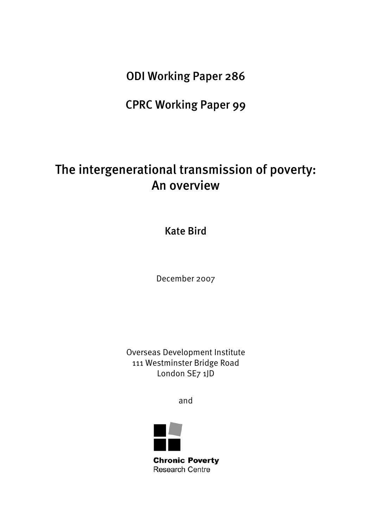ODI Working Paper 286

CPRC Working Paper 99

# The intergenerational transmission of poverty: An overview

Kate Bird

December 2007

Overseas Development Institute 111 Westminster Bridge Road London SE7 1JD

and

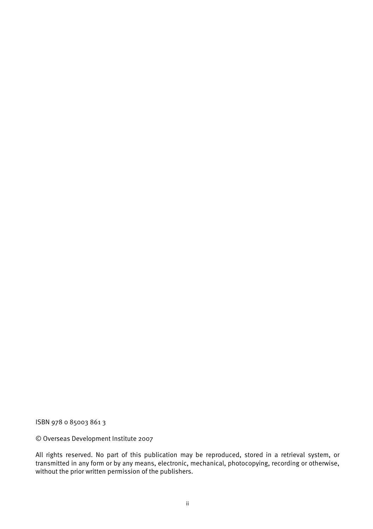ISBN 978 0 85003 861 3

© Overseas Development Institute 2007

All rights reserved. No part of this publication may be reproduced, stored in a retrieval system, or transmitted in any form or by any means, electronic, mechanical, photocopying, recording or otherwise, without the prior written permission of the publishers.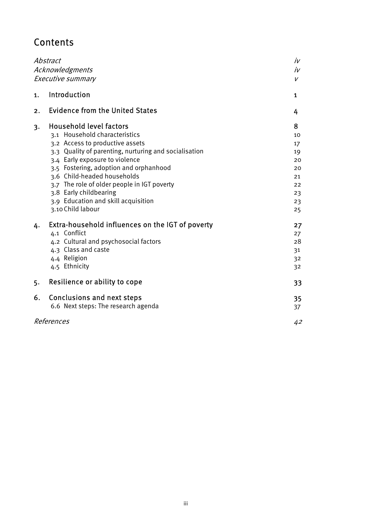# **Contents**

| Abstract<br>Acknowledgments<br>Executive summary |                                                                                                                                                                                                                                                                                                                                                                                                             | iv<br>iv<br>V                                                 |
|--------------------------------------------------|-------------------------------------------------------------------------------------------------------------------------------------------------------------------------------------------------------------------------------------------------------------------------------------------------------------------------------------------------------------------------------------------------------------|---------------------------------------------------------------|
| 1.                                               | Introduction                                                                                                                                                                                                                                                                                                                                                                                                | 1                                                             |
| 2.                                               | <b>Evidence from the United States</b>                                                                                                                                                                                                                                                                                                                                                                      | 4                                                             |
| 3.                                               | <b>Household level factors</b><br>3.1 Household characteristics<br>3.2 Access to productive assets<br>3.3 Quality of parenting, nurturing and socialisation<br>3.4 Early exposure to violence<br>3.5 Fostering, adoption and orphanhood<br>3.6 Child-headed households<br>3.7 The role of older people in IGT poverty<br>3.8 Early childbearing<br>3.9 Education and skill acquisition<br>3.10 Child labour | 8<br>10<br>17<br>19<br>20<br>20<br>21<br>22<br>23<br>23<br>25 |
| 4.                                               | Extra-household influences on the IGT of poverty<br>4.1 Conflict<br>4.2 Cultural and psychosocial factors<br>4.3 Class and caste<br>4.4 Religion<br>4.5 Ethnicity                                                                                                                                                                                                                                           | 27<br>27<br>28<br>31<br>32<br>32                              |
| 5.                                               | Resilience or ability to cope                                                                                                                                                                                                                                                                                                                                                                               | 33                                                            |
| 6.                                               | <b>Conclusions and next steps</b><br>6.6 Next steps: The research agenda                                                                                                                                                                                                                                                                                                                                    | 35<br>37                                                      |
|                                                  | References                                                                                                                                                                                                                                                                                                                                                                                                  | 42                                                            |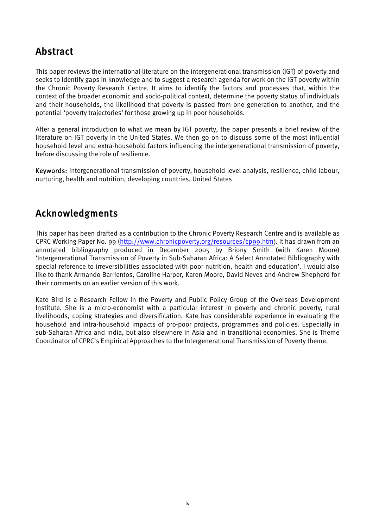# <span id="page-3-0"></span>Abstract

This paper reviews the international literature on the intergenerational transmission (IGT) of poverty and seeks to identify gaps in knowledge and to suggest a research agenda for work on the IGT poverty within the Chronic Poverty Research Centre. It aims to identify the factors and processes that, within the context of the broader economic and socio-political context, determine the poverty status of individuals and their households, the likelihood that poverty is passed from one generation to another, and the potential 'poverty trajectories' for those growing up in poor households.

After a general introduction to what we mean by IGT poverty, the paper presents a brief review of the literature on IGT poverty in the United States. We then go on to discuss some of the most influential household level and extra-household factors influencing the intergenerational transmission of poverty, before discussing the role of resilience.

Keywords: intergenerational transmission of poverty, household-level analysis, resilience, child labour, nurturing, health and nutrition, developing countries, United States

# Acknowledgments

This paper has been drafted as a contribution to the Chronic Poverty Research Centre and is available as CPRC Working Paper No. 99 [\(http://www.chronicpoverty.org/resources/cp99.htm](http://www.chronicpoverty.org/resources/cp99.htm)). It has drawn from an annotated bibliography produced in December 2005 by Briony Smith (with Karen Moore) 'Intergenerational Transmission of Poverty in Sub-Saharan Africa: A Select Annotated Bibliography with special reference to irreversibilities associated with poor nutrition, health and education'. I would also like to thank Armando Barrientos, Caroline Harper, Karen Moore, David Neves and Andrew Shepherd for their comments on an earlier version of this work.

Kate Bird is a Research Fellow in the Poverty and Public Policy Group of the Overseas Development Institute. She is a micro-economist with a particular interest in poverty and chronic poverty, rural livelihoods, coping strategies and diversification. Kate has considerable experience in evaluating the household and intra-household impacts of pro-poor projects, programmes and policies. Especially in sub-Saharan Africa and India, but also elsewhere in Asia and in transitional economies. She is Theme Coordinator of CPRC's Empirical Approaches to the Intergenerational Transmission of Poverty theme.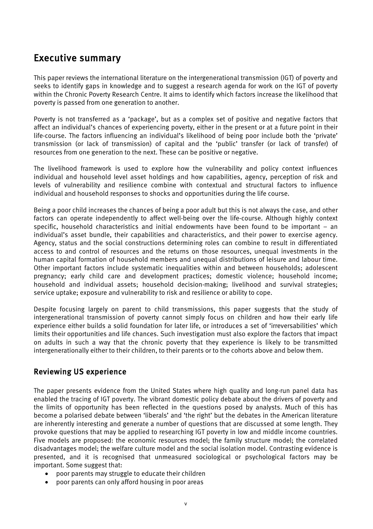# <span id="page-4-0"></span>Executive summary

This paper reviews the international literature on the intergenerational transmission (IGT) of poverty and seeks to identify gaps in knowledge and to suggest a research agenda for work on the IGT of poverty within the Chronic Poverty Research Centre. It aims to identify which factors increase the likelihood that poverty is passed from one generation to another.

Poverty is not transferred as a 'package', but as a complex set of positive and negative factors that affect an individual's chances of experiencing poverty, either in the present or at a future point in their life-course. The factors influencing an individual's likelihood of being poor include both the 'private' transmission (or lack of transmission) of capital and the 'public' transfer (or lack of transfer) of resources from one generation to the next. These can be positive or negative.

The livelihood framework is used to explore how the vulnerability and policy context influences individual and household level asset holdings and how capabilities, agency, perception of risk and levels of vulnerability and resilience combine with contextual and structural factors to influence individual and household responses to shocks and opportunities during the life course.

Being a poor child increases the chances of being a poor adult but this is not always the case, and other factors can operate independently to affect well-being over the life-course. Although highly context specific, household characteristics and initial endowments have been found to be important – an individual's asset bundle, their capabilities and characteristics, and their power to exercise agency. Agency, status and the social constructions determining roles can combine to result in differentiated access to and control of resources and the returns on those resources, unequal investments in the human capital formation of household members and unequal distributions of leisure and labour time. Other important factors include systematic inequalities within and between households; adolescent pregnancy; early child care and development practices; domestic violence; household income; household and individual assets; household decision-making; livelihood and survival strategies; service uptake; exposure and vulnerability to risk and resilience or ability to cope.

Despite focusing largely on parent to child transmissions, this paper suggests that the study of intergenerational transmission of poverty cannot simply focus on children and how their early life experience either builds a solid foundation for later life, or introduces a set of 'irreversabilities' which limits their opportunities and life chances. Such investigation must also explore the factors that impact on adults in such a way that the chronic poverty that they experience is likely to be transmitted intergenerationally either to their children, to their parents or to the cohorts above and below them.

# Reviewing US experience

The paper presents evidence from the United States where high quality and long-run panel data has enabled the tracing of IGT poverty. The vibrant domestic policy debate about the drivers of poverty and the limits of opportunity has been reflected in the questions posed by analysts. Much of this has become a polarised debate between 'liberals' and 'the right' but the debates in the American literature are inherently interesting and generate a number of questions that are discussed at some length. They provoke questions that may be applied to researching IGT poverty in low and middle income countries. Five models are proposed: the economic resources model; the family structure model; the correlated disadvantages model; the welfare culture model and the social isolation model. Contrasting evidence is presented, and it is recognised that unmeasured sociological or psychological factors may be important. Some suggest that:

- poor parents may struggle to educate their children
- poor parents can only afford housing in poor areas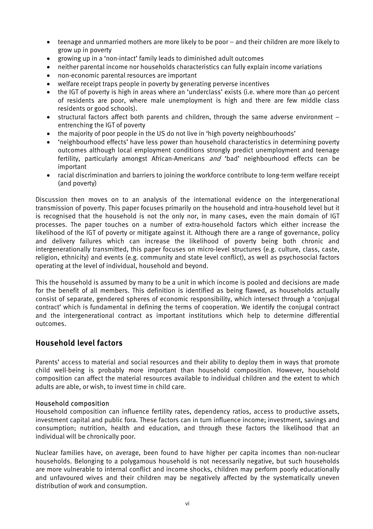- teenage and unmarried mothers are more likely to be poor and their children are more likely to grow up in poverty
- growing up in a 'non-intact' family leads to diminished adult outcomes
- neither parental income nor households characteristics can fully explain income variations
- non-economic parental resources are important
- welfare receipt traps people in poverty by generating perverse incentives
- the IGT of poverty is high in areas where an 'underclass' exists (i.e. where more than 40 percent of residents are poor, where male unemployment is high and there are few middle class residents or good schools).
- structural factors affect both parents and children, through the same adverse environment entrenching the IGT of poverty
- the majority of poor people in the US do not live in 'high poverty neighbourhoods'
- 'neighbourhood effects' have less power than household characteristics in determining poverty outcomes although local employment conditions strongly predict unemployment and teenage fertility, particularly amongst African-Americans *and* 'bad' neighbourhood effects can be important
- racial discrimination and barriers to joining the workforce contribute to long-term welfare receipt (and poverty)

Discussion then moves on to an analysis of the international evidence on the intergenerational transmission of poverty. This paper focuses primarily on the household and intra-household level but it is recognised that the household is not the only nor, in many cases, even the main domain of IGT processes. The paper touches on a number of extra-household factors which either increase the likelihood of the IGT of poverty or mitigate against it. Although there are a range of governance, policy and delivery failures which can increase the likelihood of poverty being both chronic and intergenerationally transmitted, this paper focuses on micro-level structures (e.g. culture, class, caste, religion, ethnicity) and events (e.g. community and state level conflict), as well as psychosocial factors operating at the level of individual, household and beyond.

This the household is assumed by many to be a unit in which income is pooled and decisions are made for the benefit of all members. This definition is identified as being flawed, as households actually consist of separate, gendered spheres of economic responsibility, which intersect through a 'conjugal contract' which is fundamental in defining the terms of cooperation. We identify the conjugal contract and the intergenerational contract as important institutions which help to determine differential outcomes.

# Household level factors

Parents' access to material and social resources and their ability to deploy them in ways that promote child well-being is probably more important than household composition. However, household composition can affect the material resources available to individual children and the extent to which adults are able, or wish, to invest time in child care.

# Household composition

Household composition can influence fertility rates, dependency ratios, access to productive assets, investment capital and public fora. These factors can in turn influence income; investment, savings and consumption; nutrition, health and education, and through these factors the likelihood that an individual will be chronically poor.

Nuclear families have, on average, been found to have higher per capita incomes than non-nuclear households. Belonging to a polygamous household is not necessarily negative, but such households are more vulnerable to internal conflict and income shocks, children may perform poorly educationally and unfavoured wives and their children may be negatively affected by the systematically uneven distribution of work and consumption.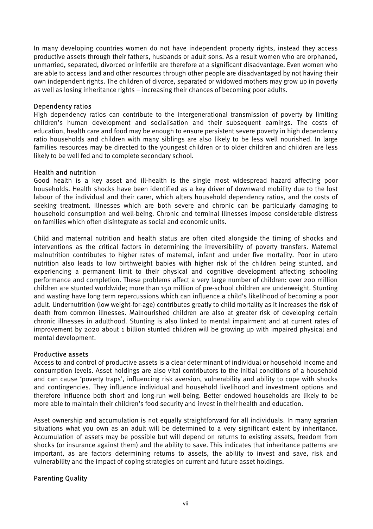In many developing countries women do not have independent property rights, instead they access productive assets through their fathers, husbands or adult sons. As a result women who are orphaned, unmarried, separated, divorced or infertile are therefore at a significant disadvantage. Even women who are able to access land and other resources through other people are disadvantaged by not having their own independent rights. The children of divorce, separated or widowed mothers may grow up in poverty as well as losing inheritance rights – increasing their chances of becoming poor adults.

# Dependency ratios

High dependency ratios can contribute to the intergenerational transmission of poverty by limiting children's human development and socialisation and their subsequent earnings. The costs of education, health care and food may be enough to ensure persistent severe poverty in high dependency ratio households and children with many siblings are also likely to be less well nourished. In large families resources may be directed to the youngest children or to older children and children are less likely to be well fed and to complete secondary school.

# Health and nutrition

Good health is a key asset and ill-health is the single most widespread hazard affecting poor households. Health shocks have been identified as a key driver of downward mobility due to the lost labour of the individual and their carer, which alters household dependency ratios, and the costs of seeking treatment. Illnesses which are both severe and chronic can be particularly damaging to household consumption and well-being. Chronic and terminal illnesses impose considerable distress on families which often disintegrate as social and economic units.

Child and maternal nutrition and health status are often cited alongside the timing of shocks and interventions as the critical factors in determining the irreversibility of poverty transfers. Maternal malnutrition contributes to higher rates of maternal, infant and under five mortality. Poor in utero nutrition also leads to low birthweight babies with higher risk of the children being stunted, and experiencing a permanent limit to their physical and cognitive development affecting schooling performance and completion. These problems affect a very large number of children: over 200 million children are stunted worldwide; more than 150 million of pre-school children are underweight. Stunting and wasting have long term repercussions which can influence a child's likelihood of becoming a poor adult. Undernutrition (low weight-for-age) contributes greatly to child mortality as it increases the risk of death from common illnesses. Malnourished children are also at greater risk of developing certain chronic illnesses in adulthood. Stunting is also linked to mental impairment and at current rates of improvement by 2020 about 1 billion stunted children will be growing up with impaired physical and mental development.

# Productive assets

Access to and control of productive assets is a clear determinant of individual or household income and consumption levels. Asset holdings are also vital contributors to the initial conditions of a household and can cause 'poverty traps', influencing risk aversion, vulnerability and ability to cope with shocks and contingencies. They influence individual and household livelihood and investment options and therefore influence both short and long-run well-being. Better endowed households are likely to be more able to maintain their children's food security and invest in their health and education.

Asset ownership and accumulation is not equally straightforward for all individuals. In many agrarian situations what you own as an adult will be determined to a very significant extent by inheritance. Accumulation of assets may be possible but will depend on returns to existing assets, freedom from shocks (or insurance against them) and the ability to save. This indicates that inheritance patterns are important, as are factors determining returns to assets, the ability to invest and save, risk and vulnerability and the impact of coping strategies on current and future asset holdings.

# Parenting Quality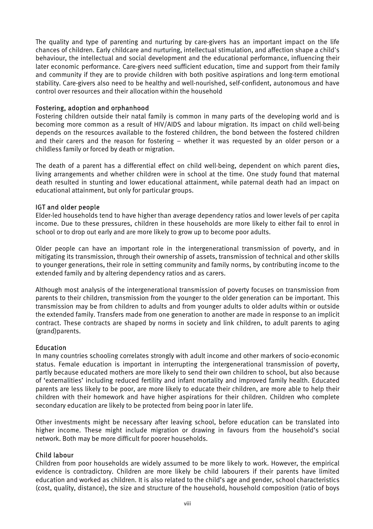The quality and type of parenting and nurturing by care-givers has an important impact on the life chances of children. Early childcare and nurturing, intellectual stimulation, and affection shape a child's behaviour, the intellectual and social development and the educational performance, influencing their later economic performance. Care-givers need sufficient education, time and support from their family and community if they are to provide children with both positive aspirations and long-term emotional stability. Care-givers also need to be healthy and well-nourished, self-confident, autonomous and have control over resources and their allocation within the household

#### Fostering, adoption and orphanhood

Fostering children outside their natal family is common in many parts of the developing world and is becoming more common as a result of HIV/AIDS and labour migration. Its impact on child well-being depends on the resources available to the fostered children, the bond between the fostered children and their carers and the reason for fostering – whether it was requested by an older person or a childless family or forced by death or migration.

The death of a parent has a differential effect on child well-being, dependent on which parent dies, living arrangements and whether children were in school at the time. One study found that maternal death resulted in stunting and lower educational attainment, while paternal death had an impact on educational attainment, but only for particular groups.

#### IGT and older people

Elder-led households tend to have higher than average dependency ratios and lower levels of per capita income. Due to these pressures, children in these households are more likely to either fail to enrol in school or to drop out early and are more likely to grow up to become poor adults.

Older people can have an important role in the intergenerational transmission of poverty, and in mitigating its transmission, through their ownership of assets, transmission of technical and other skills to younger generations, their role in setting community and family norms, by contributing income to the extended family and by altering dependency ratios and as carers.

Although most analysis of the intergenerational transmission of poverty focuses on transmission from parents to their children, transmission from the younger to the older generation can be important. This transmission may be from children to adults and from younger adults to older adults within or outside the extended family. Transfers made from one generation to another are made in response to an implicit contract. These contracts are shaped by norms in society and link children, to adult parents to aging (grand)parents.

# Education

In many countries schooling correlates strongly with adult income and other markers of socio-economic status. Female education is important in interrupting the intergenerational transmission of poverty, partly because educated mothers are more likely to send their own children to school, but also because of 'externalities' including reduced fertility and infant mortality and improved family health. Educated parents are less likely to be poor, are more likely to educate their children, are more able to help their children with their homework and have higher aspirations for their children. Children who complete secondary education are likely to be protected from being poor in later life.

Other investments might be necessary after leaving school, before education can be translated into higher income. These might include migration or drawing in favours from the household's social network. Both may be more difficult for poorer households.

# Child labour

Children from poor households are widely assumed to be more likely to work. However, the empirical evidence is contradictory. Children are more likely be child labourers if their parents have limited education and worked as children. It is also related to the child's age and gender, school characteristics (cost, quality, distance), the size and structure of the household, household composition (ratio of boys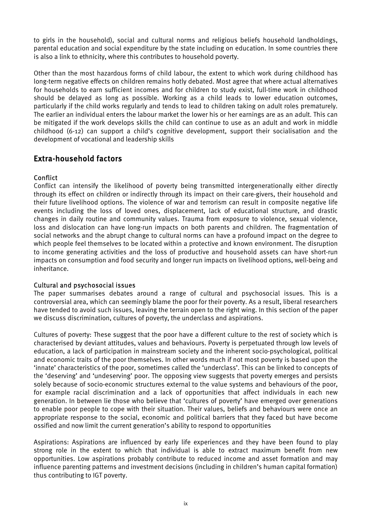to girls in the household), social and cultural norms and religious beliefs household landholdings, parental education and social expenditure by the state including on education. In some countries there is also a link to ethnicity, where this contributes to household poverty.

Other than the most hazardous forms of child labour, the extent to which work during childhood has long-term negative effects on children remains hotly debated. Most agree that where actual alternatives for households to earn sufficient incomes and for children to study exist, full-time work in childhood should be delayed as long as possible. Working as a child leads to lower education outcomes, particularly if the child works regularly and tends to lead to children taking on adult roles prematurely. The earlier an individual enters the labour market the lower his or her earnings are as an adult. This can be mitigated if the work develops skills the child can continue to use as an adult and work in middle childhood (6-12) can support a child's cognitive development, support their socialisation and the development of vocational and leadership skills

# Extra-household factors

# Conflict

Conflict can intensify the likelihood of poverty being transmitted intergenerationally either directly through its effect on children or indirectly through its impact on their care-givers, their household and their future livelihood options. The violence of war and terrorism can result in composite negative life events including the loss of loved ones, displacement, lack of educational structure, and drastic changes in daily routine and community values. Trauma from exposure to violence, sexual violence, loss and dislocation can have long-run impacts on both parents and children. The fragmentation of social networks and the abrupt change to cultural norms can have a profound impact on the degree to which people feel themselves to be located within a protective and known environment. The disruption to income generating activities and the loss of productive and household assets can have short-run impacts on consumption and food security and longer run impacts on livelihood options, well-being and inheritance.

# Cultural and psychosocial issues

The paper summarises debates around a range of cultural and psychosocial issues. This is a controversial area, which can seemingly blame the poor for their poverty. As a result, liberal researchers have tended to avoid such issues, leaving the terrain open to the right wing. In this section of the paper we discuss discrimination, cultures of poverty, the underclass and aspirations.

Cultures of poverty: These suggest that the poor have a different culture to the rest of society which is characterised by deviant attitudes, values and behaviours. Poverty is perpetuated through low levels of education, a lack of participation in mainstream society and the inherent socio-psychological, political and economic traits of the poor themselves. In other words much if not most poverty is based upon the 'innate' characteristics of the poor, sometimes called the 'underclass'. This can be linked to concepts of the 'deserving' and 'undeserving' poor. The opposing view suggests that poverty emerges and persists solely because of socio-economic structures external to the value systems and behaviours of the poor, for example racial discrimination and a lack of opportunities that affect individuals in each new generation. In between lie those who believe that 'cultures of poverty' have emerged over generations to enable poor people to cope with their situation. Their values, beliefs and behaviours were once an appropriate response to the social, economic and political barriers that they faced but have become ossified and now limit the current generation's ability to respond to opportunities

Aspirations: Aspirations are influenced by early life experiences and they have been found to play strong role in the extent to which that individual is able to extract maximum benefit from new opportunities. Low aspirations probably contribute to reduced income and asset formation and may influence parenting patterns and investment decisions (including in children's human capital formation) thus contributing to IGT poverty.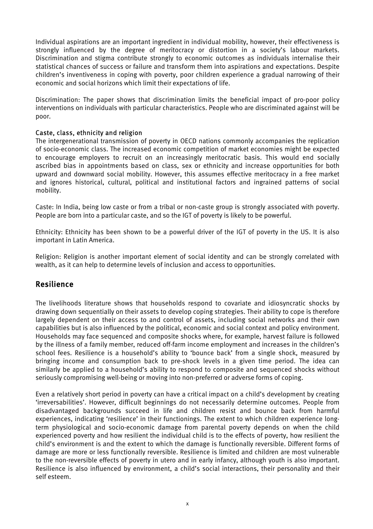Individual aspirations are an important ingredient in individual mobility, however, their effectiveness is strongly influenced by the degree of meritocracy or distortion in a society's labour markets. Discrimination and stigma contribute strongly to economic outcomes as individuals internalise their statistical chances of success or failure and transform them into aspirations and expectations. Despite children's inventiveness in coping with poverty, poor children experience a gradual narrowing of their economic and social horizons which limit their expectations of life.

Discrimination: The paper shows that discrimination limits the beneficial impact of pro-poor policy interventions on individuals with particular characteristics. People who are discriminated against will be poor.

# Caste, class, ethnicity and religion

The intergenerational transmission of poverty in OECD nations commonly accompanies the replication of socio-economic class. The increased economic competition of market economies might be expected to encourage employers to recruit on an increasingly meritocratic basis. This would end socially ascribed bias in appointments based on class, sex or ethnicity and increase opportunities for both upward and downward social mobility. However, this assumes effective meritocracy in a free market and ignores historical, cultural, political and institutional factors and ingrained patterns of social mobility.

Caste: In India, being low caste or from a tribal or non-caste group is strongly associated with poverty. People are born into a particular caste, and so the IGT of poverty is likely to be powerful.

Ethnicity: Ethnicity has been shown to be a powerful driver of the IGT of poverty in the US. It is also important in Latin America.

Religion: Religion is another important element of social identity and can be strongly correlated with wealth, as it can help to determine levels of inclusion and access to opportunities.

# Resilience

The livelihoods literature shows that households respond to covariate and idiosyncratic shocks by drawing down sequentially on their assets to develop coping strategies. Their ability to cope is therefore largely dependent on their access to and control of assets, including social networks and their own capabilities but is also influenced by the political, economic and social context and policy environment. Households may face sequenced and composite shocks where, for example, harvest failure is followed by the illness of a family member, reduced off-farm income employment and increases in the children's school fees. Resilience is a household's ability to 'bounce back' from a single shock, measured by bringing income and consumption back to pre-shock levels in a given time period. The idea can similarly be applied to a household's ability to respond to composite and sequenced shocks without seriously compromising well-being or moving into non-preferred or adverse forms of coping.

Even a relatively short period in poverty can have a critical impact on a child's development by creating 'irreversabilities'. However, difficult beginnings do not necessarily determine outcomes. People from disadvantaged backgrounds succeed in life and children resist and bounce back from harmful experiences, indicating 'resilience' in their functionings. The extent to which children experience longterm physiological and socio-economic damage from parental poverty depends on when the child experienced poverty and how resilient the individual child is to the effects of poverty, how resilient the child's environment is and the extent to which the damage is functionally reversible. Different forms of damage are more or less functionally reversible. Resilience is limited and children are most vulnerable to the non-reversible effects of poverty in utero and in early infancy, although youth is also important. Resilience is also influenced by environment, a child's social interactions, their personality and their self esteem.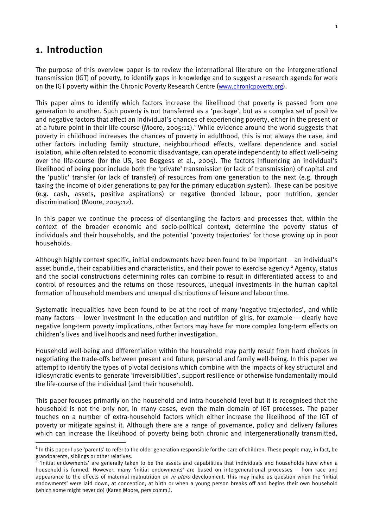# <span id="page-10-0"></span>1. Introduction

The purpose of this overview paper is to review the international literature on the intergenerational transmission (IGT) of poverty, to identify gaps in knowledge and to suggest a research agenda for work on the IGT poverty within the Chronic Poverty Research Centre ([www.chronicpoverty.org](http://www.chronicpoverty.org/)).

This paper aims to identify which factors increase the likelihood that poverty is passed from one generation to another. Such poverty is not transferred as a 'package', but as a complex set of positive and negative factors that affect an individual's chances of experiencing poverty, either in the present or at a future point in their life-course (Moore, 2005:[1](#page-10-1)2).<sup>1</sup> While evidence around the world suggests that poverty in childhood increases the chances of poverty in adulthood, this is not always the case, and other factors including family structure, neighbourhood effects, welfare dependence and social isolation, while often related to economic disadvantage, can operate independently to affect well-being over the life-course (for the US, see Boggess et al., 2005). The factors influencing an individual's likelihood of being poor include both the 'private' transmission (or lack of transmission) of capital and the 'public' transfer (or lack of transfer) of resources from one generation to the next (e.g. through taxing the income of older generations to pay for the primary education system). These can be positive (e.g. cash, assets, positive aspirations) or negative (bonded labour, poor nutrition, gender discrimination) (Moore, 2005:12).

In this paper we continue the process of disentangling the factors and processes that, within the context of the broader economic and socio-political context, determine the poverty status of individuals and their households, and the potential 'poverty trajectories' for those growing up in poor households.

Although highly context specific, initial endowments have been found to be important – an individual's asset bundle, their capabilities and characteristics, and their power to exercise agency.<sup>[2](#page-10-2)</sup> Agency, status and the social constructions determining roles can combine to result in differentiated access to and control of resources and the returns on those resources, unequal investments in the human capital formation of household members and unequal distributions of leisure and labour time.

Systematic inequalities have been found to be at the root of many 'negative trajectories', and while many factors – lower investment in the education and nutrition of girls, for example – clearly have negative long-term poverty implications, other factors may have far more complex long-term effects on children's lives and livelihoods and need further investigation.

Household well-being and differentiation within the household may partly result from hard choices in negotiating the trade-offs between present and future, personal and family well-being. In this paper we attempt to identify the types of pivotal decisions which combine with the impacts of key structural and idiosyncratic events to generate 'irreversibilities', support resilience or otherwise fundamentally mould the life-course of the individual (and their household).

This paper focuses primarily on the household and intra-household level but it is recognised that the household is not the only nor, in many cases, even the main domain of IGT processes. The paper touches on a number of extra-household factors which either increase the likelihood of the IGT of poverty or mitigate against it. Although there are a range of governance, policy and delivery failures which can increase the likelihood of poverty being both chronic and intergenerationally transmitted,

<span id="page-10-1"></span>1 In this paper I use 'parents' to refer to the older generation responsible for the care of children. These people may, in fact, be grandparents, siblings or other relatives.

<span id="page-10-2"></span> <sup>&#</sup>x27;Initial endowments' are generally taken to be the assets and capabilities that individuals and households have when a household is formed. However, many 'initial endowments' are based on intergenerational processes – from race and appearance to the effects of maternal malnutrition on in utero development. This may make us question when the 'initial endowments' were laid down, at conception, at birth or when a young person breaks off and begins their own household (which some might never do) (Karen Moore, pers comm.).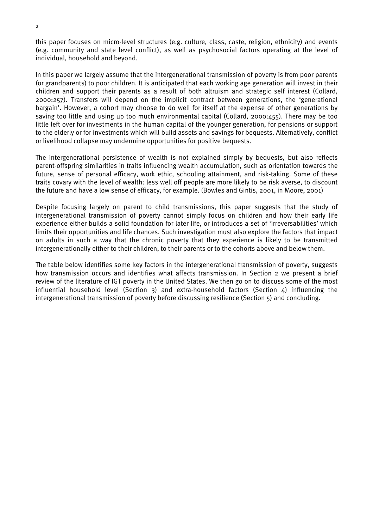this paper focuses on micro-level structures (e.g. culture, class, caste, religion, ethnicity) and events (e.g. community and state level conflict), as well as psychosocial factors operating at the level of individual, household and beyond.

In this paper we largely assume that the intergenerational transmission of poverty is from poor parents (or grandparents) to poor children. It is anticipated that each working age generation will invest in their children and support their parents as a result of both altruism and strategic self interest (Collard, 2000:257). Transfers will depend on the implicit contract between generations, the 'generational bargain'. However, a cohort may choose to do well for itself at the expense of other generations by saving too little and using up too much environmental capital (Collard, 2000:455). There may be too little left over for investments in the human capital of the younger generation, for pensions or support to the elderly or for investments which will build assets and savings for bequests. Alternatively, conflict or livelihood collapse may undermine opportunities for positive bequests.

The intergenerational persistence of wealth is not explained simply by bequests, but also reflects parent-offspring similarities in traits influencing wealth accumulation, such as orientation towards the future, sense of personal efficacy, work ethic, schooling attainment, and risk-taking. Some of these traits covary with the level of wealth: less well off people are more likely to be risk averse, to discount the future and have a low sense of efficacy, for example. (Bowles and Gintis, 2001, in Moore, 2001)

Despite focusing largely on parent to child transmissions, this paper suggests that the study of intergenerational transmission of poverty cannot simply focus on children and how their early life experience either builds a solid foundation for later life, or introduces a set of 'irreversabilities' which limits their opportunities and life chances. Such investigation must also explore the factors that impact on adults in such a way that the chronic poverty that they experience is likely to be transmitted intergenerationally either to their children, to their parents or to the cohorts above and below them.

The table below identifies some key factors in the intergenerational transmission of poverty, suggests how transmission occurs and identifies what affects transmission. In Section 2 we present a brief review of the literature of IGT poverty in the United States. We then go on to discuss some of the most influential household level (Section 3) and extra-household factors (Section 4) influencing the intergenerational transmission of poverty before discussing resilience (Section 5) and concluding.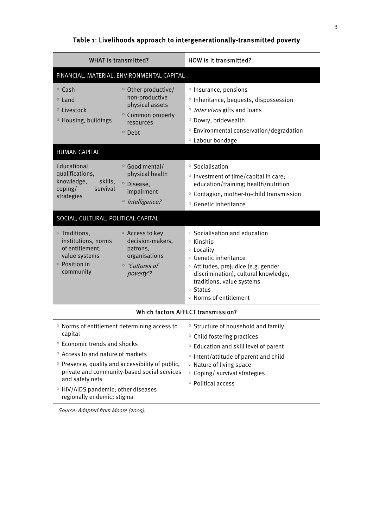# Table 1: Livelihoods approach to intergenerationally-transmitted poverty

| <b>WHAT is transmitted?</b>                                                                                                                                                                                                                                                                                                                                                    | <b>HOW is it transmitted?</b>                                                                                                                                                                                                                                                                  |  |  |  |
|--------------------------------------------------------------------------------------------------------------------------------------------------------------------------------------------------------------------------------------------------------------------------------------------------------------------------------------------------------------------------------|------------------------------------------------------------------------------------------------------------------------------------------------------------------------------------------------------------------------------------------------------------------------------------------------|--|--|--|
| FINANCIAL, MATERIAL, ENVIRONMENTAL CAPITAL                                                                                                                                                                                                                                                                                                                                     |                                                                                                                                                                                                                                                                                                |  |  |  |
| <sup>o</sup> Cash<br><sup>o</sup> Other productive/<br>non-productive<br><sup>o</sup> Land<br>physical assets<br><sup>o</sup> Livestock<br><sup>o</sup> Common property<br><sup>o</sup> Housing, buildings<br>resources<br><sup>o</sup> Debt                                                                                                                                   | <sup>o</sup> Insurance, pensions<br><sup>o</sup> Inheritance, bequests, dispossession<br><sup>o</sup> Inter vivos gifts and loans<br><sup>o</sup> Dowry, bridewealth<br><sup>o</sup> Environmental conservation/degradation<br><sup>o</sup> Labour bondage                                     |  |  |  |
| <b>HUMAN CAPITAL</b>                                                                                                                                                                                                                                                                                                                                                           |                                                                                                                                                                                                                                                                                                |  |  |  |
| Educational<br><sup>o</sup> Good mental/<br>qualifications,<br>physical health<br>knowledge,<br>skills,<br><sup>o</sup> Disease,<br>coping/<br>survival<br>impairment<br>strategies<br><sup>o</sup> Intelligence?                                                                                                                                                              | <sup>o</sup> Socialisation<br><sup>o</sup> Investment of time/capital in care;<br>education/training; health/nutrition<br><sup>o</sup> Contagion, mother-to-child transmission<br><sup>o</sup> Genetic inheritance                                                                             |  |  |  |
| SOCIAL, CULTURAL, POLITICAL CAPITAL                                                                                                                                                                                                                                                                                                                                            |                                                                                                                                                                                                                                                                                                |  |  |  |
| • Traditions,<br>• Access to key<br>institutions, norms<br>decision-makers,<br>of entitlement,<br>patrons,<br>organisations<br>value systems<br>• Position in<br><sup>o</sup> 'Cultures of<br>community<br>poverty'?                                                                                                                                                           | • Socialisation and education<br>• Kinship<br>• Locality<br>· Genetic inheritance<br>· Attitudes, prejudice (e.g. gender<br>discrimination), cultural knowledge,<br>traditions, value systems<br>• Status<br>• Norms of entitlement                                                            |  |  |  |
| Which factors AFFECT transmission?                                                                                                                                                                                                                                                                                                                                             |                                                                                                                                                                                                                                                                                                |  |  |  |
| <sup>o</sup> Norms of entitlement determining access to<br>capital<br><sup>o</sup> Economic trends and shocks<br><sup>o</sup> Access to and nature of markets<br><sup>o</sup> Presence, quality and accessibility of public,<br>private and community-based social services<br>and safety nets<br><sup>o</sup> HIV/AIDS pandemic; other diseases<br>regionally endemic; stigma | <sup>o</sup> Structure of household and family<br><sup>o</sup> Child fostering practices<br><sup>o</sup> Education and skill level of parent<br><sup>o</sup> Intent/attitude of parent and child<br>• Nature of living space<br>• Coping/ survival strategies<br><sup>o</sup> Political access |  |  |  |

Source: Adapted from Moore (2005).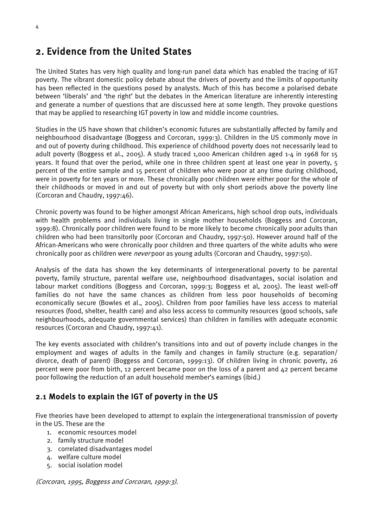# <span id="page-13-0"></span>2. Evidence from the United States

The United States has very high quality and long-run panel data which has enabled the tracing of IGT poverty. The vibrant domestic policy debate about the drivers of poverty and the limits of opportunity has been reflected in the questions posed by analysts. Much of this has become a polarised debate between 'liberals' and 'the right' but the debates in the American literature are inherently interesting and generate a number of questions that are discussed here at some length. They provoke questions that may be applied to researching IGT poverty in low and middle income countries.

Studies in the US have shown that children's economic futures are substantially affected by family and neighbourhood disadvantage (Boggess and Corcoran, 1999:3). Children in the US commonly move in and out of poverty during childhood. This experience of childhood poverty does not necessarily lead to adult poverty (Boggess et al., 2005). A study traced 1,000 American children aged 1-4 in 1968 for 15 years. It found that over the period, while one in three children spent at least one year in poverty, 5 percent of the entire sample and 15 percent of children who were poor at any time during childhood, were in poverty for ten years or more. These chronically poor children were either poor for the whole of their childhoods or moved in and out of poverty but with only short periods above the poverty line (Corcoran and Chaudry, 1997:46).

Chronic poverty was found to be higher amongst African Americans, high school drop outs, individuals with health problems and individuals living in single mother households (Boggess and Corcoran, 1999:8). Chronically poor children were found to be more likely to become chronically poor adults than children who had been transitorily poor (Corcoran and Chaudry, 1997:50). However around half of the African-Americans who were chronically poor children and three quarters of the white adults who were chronically poor as children were *never* poor as young adults (Corcoran and Chaudry, 1997:50).

Analysis of the data has shown the key determinants of intergenerational poverty to be parental poverty, family structure, parental welfare use, neighbourhood disadvantages, social isolation and labour market conditions (Boggess and Corcoran, 1999:3; Boggess et al, 2005). The least well-off families do not have the same chances as children from less poor households of becoming economically secure (Bowles et al., 2005). Children from poor families have less access to material resources (food, shelter, health care) and also less access to community resources (good schools, safe neighbourhoods, adequate governmental services) than children in families with adequate economic resources (Corcoran and Chaudry, 1997:41).

The key events associated with children's transitions into and out of poverty include changes in the employment and wages of adults in the family and changes in family structure (e.g. separation/ divorce, death of parent) (Boggess and Corcoran, 1999:13). Of children living in chronic poverty, 26 percent were poor from birth, 12 percent became poor on the loss of a parent and 42 percent became poor following the reduction of an adult household member's earnings (ibid.)

# 2.1 Models to explain the IGT of poverty in the US

Five theories have been developed to attempt to explain the intergenerational transmission of poverty in the US. These are the

- 1. economic resources model
- 2. family structure model
- 3. correlated disadvantages model
- 4. welfare culture model
- 5. social isolation model

(Corcoran, 1995, Boggess and Corcoran, 1999:3).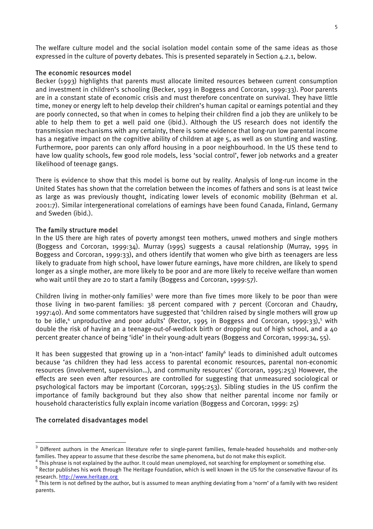The welfare culture model and the social isolation model contain some of the same ideas as those expressed in the culture of poverty debates. This is presented separately in Section 4.2.1, below.

#### The economic resources model

Becker (1993) highlights that parents must allocate limited resources between current consumption and investment in children's schooling (Becker, 1993 in Boggess and Corcoran, 1999:33). Poor parents are in a constant state of economic crisis and must therefore concentrate on survival. They have little time, money or energy left to help develop their children's human capital or earnings potential and they are poorly connected, so that when in comes to helping their children find a job they are unlikely to be able to help them to get a well paid one (ibid.). Although the US research does not identify the transmission mechanisms with any certainty, there is some evidence that long-run low parental income has a negative impact on the cognitive ability of children at age 5, as well as on stunting and wasting. Furthermore, poor parents can only afford housing in a poor neighbourhood. In the US these tend to have low quality schools, few good role models, less 'social control', fewer job networks and a greater likelihood of teenage gangs.

There is evidence to show that this model is borne out by reality. Analysis of long-run income in the United States has shown that the correlation between the incomes of fathers and sons is at least twice as large as was previously thought, indicating lower levels of economic mobility (Behrman et al. 2001:7). Similar intergenerational correlations of earnings have been found Canada, Finland, Germany and Sweden (ibid.).

#### The family structure model

In the US there are high rates of poverty amongst teen mothers, unwed mothers and single mothers (Boggess and Corcoran, 1999:34). Murray (1995) suggests a causal relationship (Murray, 1995 in Boggess and Corcoran, 1999:33), and others identify that women who give birth as teenagers are less likely to graduate from high school, have lower future earnings, have more children, are likely to spend longer as a single mother, are more likely to be poor and are more likely to receive welfare than women who wait until they are 20 to start a family (Boggess and Corcoran, 1999:57).

Children living in mother-only families<sup>3</sup> were more than five times more likely to be poor than were those living in two-parent families: 38 percent compared with 7 percent (Corcoran and Chaudry, 1997:40). And some commentators have suggested that 'children raised by single mothers will grow up to be idle,<sup>[4](#page-14-1)</sup>unproductive and poor adults' (Rector, 1995 in Boggess and Corcoran, 1999:33),<sup>5</sup> with double the risk of having an a teenage-out-of-wedlock birth or dropping out of high school, and a 40 percent greater chance of being 'idle' in their young-adult years (Boggess and Corcoran, 1999:34, 55).

Ithas been suggested that growing up in a 'non-intact' family<sup>6</sup> leads to diminished adult outcomes because 'as children they had less access to parental economic resources, parental non-economic resources (involvement, supervision…), and community resources' (Corcoran, 1995:253) However, the effects are seen even after resources are controlled for suggesting that unmeasured sociological or psychological factors may be important (Corcoran, 1995:253). Sibling studies in the US confirm the importance of family background but they also show that neither parental income nor family or household characteristics fully explain income variation (Boggess and Corcoran, 1999: 25)

# The correlated disadvantages model

<span id="page-14-0"></span><sup>&</sup>lt;u>and the pro</u><br><sup>3</sup> Different authors in the American literature refer to single-parent families, female-headed households and mother-only families. They appear to assume that these describe the same phenomena, but do not make this explicit. <sup>4</sup>

<span id="page-14-1"></span>This phrase is not explained by the author. It could mean unemployed, not searching for employment or something else.

<span id="page-14-2"></span><sup>&</sup>lt;sup>5</sup> Rector publishes his work through The Heritage Foundation, which is well known in the US for the conservative flavour of its research. [http://www.heritage.org](http://www.heritage.org/) <sup>6</sup>

<span id="page-14-3"></span>This term is not defined by the author, but is assumed to mean anything deviating from a 'norm' of a family with two resident parents.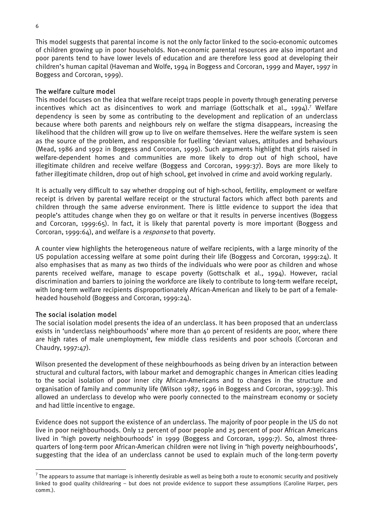This model suggests that parental income is not the only factor linked to the socio-economic outcomes of children growing up in poor households. Non-economic parental resources are also important and poor parents tend to have lower levels of education and are therefore less good at developing their children's human capital (Haveman and Wolfe, 1994 in Boggess and Corcoran, 1999 and Mayer, 1997 in Boggess and Corcoran, 1999).

#### The welfare culture model

This model focuses on the idea that welfare receipt traps people in poverty through generating perverse incentives which act as disincentives to work and marriage (Gottschalk et al., 1994).<sup>[7](#page-15-0)</sup> Welfare dependency is seen by some as contributing to the development and replication of an underclass because where both parents and neighbours rely on welfare the stigma disappears, increasing the likelihood that the children will grow up to live on welfare themselves. Here the welfare system is seen as the source of the problem, and responsible for fuelling 'deviant values, attitudes and behaviours (Mead, 1986 and 1992 in Boggess and Corcoran, 1999). Such arguments highlight that girls raised in welfare-dependent homes and communities are more likely to drop out of high school, have illegitimate children and receive welfare (Boggess and Corcoran, 1999:37). Boys are more likely to father illegitimate children, drop out of high school, get involved in crime and avoid working regularly.

It is actually very difficult to say whether dropping out of high-school, fertility, employment or welfare receipt is driven by parental welfare receipt or the structural factors which affect both parents and children through the same adverse environment. There is little evidence to support the idea that people's attitudes change when they go on welfare or that it results in perverse incentives (Boggess and Corcoran, 1999:65). In fact, it is likely that parental poverty is more important (Boggess and Corcoran, 1999:64), and welfare is a *response* to that poverty.

A counter view highlights the heterogeneous nature of welfare recipients, with a large minority of the US population accessing welfare at some point during their life (Boggess and Corcoran, 1999:24). It also emphasises that as many as two thirds of the individuals who were poor as children and whose parents received welfare, manage to escape poverty (Gottschalk et al., 1994). However, racial discrimination and barriers to joining the workforce are likely to contribute to long-term welfare receipt, with long-term welfare recipients disproportionately African-American and likely to be part of a femaleheaded household (Boggess and Corcoran, 1999:24).

# The social isolation model

 $\overline{a}$ 

The social isolation model presents the idea of an underclass. It has been proposed that an underclass exists in 'underclass neighbourhoods' where more than 40 percent of residents are poor, where there are high rates of male unemployment, few middle class residents and poor schools (Corcoran and Chaudry, 1997:47).

Wilson presented the development of these neighbourhoods as being driven by an interaction between structural and cultural factors, with labour market and demographic changes in American cities leading to the social isolation of poor inner city African-Americans and to changes in the structure and organisation of family and community life (Wilson 1987, 1996 in Boggess and Corcoran, 1999:39). This allowed an underclass to develop who were poorly connected to the mainstream economy or society and had little incentive to engage.

Evidence does not support the existence of an underclass. The majority of poor people in the US do not live in poor neighbourhoods. Only 12 percent of poor people and 25 percent of poor African Americans lived in 'high poverty neighbourhoods' in 1999 (Boggess and Corcoran, 1999:7). So, almost threequarters of long-term poor African-American children were not living in 'high poverty neighbourhoods', suggesting that the idea of an underclass cannot be used to explain much of the long-term poverty

<span id="page-15-0"></span> $^7$  The appears to assume that marriage is inherently desirable as well as being both a route to economic security and positively linked to good quality childrearing – but does not provide evidence to support these assumptions (Caroline Harper, pers comm.).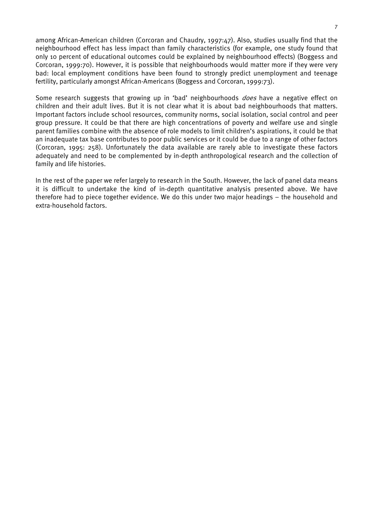among African-American children (Corcoran and Chaudry, 1997:47). Also, studies usually find that the neighbourhood effect has less impact than family characteristics (for example, one study found that only 10 percent of educational outcomes could be explained by neighbourhood effects) (Boggess and Corcoran, 1999:70). However, it is possible that neighbourhoods would matter more if they were very bad: local employment conditions have been found to strongly predict unemployment and teenage fertility, particularly amongst African-Americans (Boggess and Corcoran, 1999:73).

Some research suggests that growing up in 'bad' neighbourhoods *does* have a negative effect on children and their adult lives. But it is not clear what it is about bad neighbourhoods that matters. Important factors include school resources, community norms, social isolation, social control and peer group pressure. It could be that there are high concentrations of poverty and welfare use and single parent families combine with the absence of role models to limit children's aspirations, it could be that an inadequate tax base contributes to poor public services or it could be due to a range of other factors (Corcoran, 1995: 258). Unfortunately the data available are rarely able to investigate these factors adequately and need to be complemented by in-depth anthropological research and the collection of family and life histories.

In the rest of the paper we refer largely to research in the South. However, the lack of panel data means it is difficult to undertake the kind of in-depth quantitative analysis presented above. We have therefore had to piece together evidence. We do this under two major headings – the household and extra-household factors.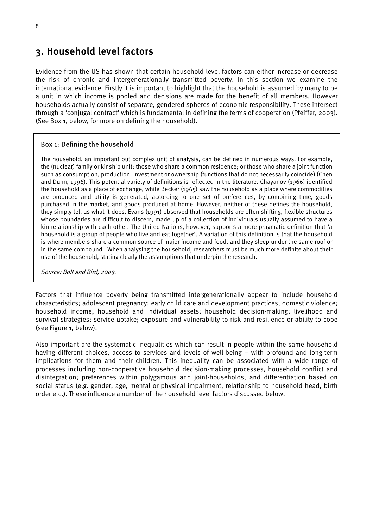# <span id="page-17-0"></span>3. Household level factors

Evidence from the US has shown that certain household level factors can either increase or decrease the risk of chronic and intergenerationally transmitted poverty. In this section we examine the international evidence. Firstly it is important to highlight that the household is assumed by many to be a unit in which income is pooled and decisions are made for the benefit of all members. However households actually consist of separate, gendered spheres of economic responsibility. These intersect through a 'conjugal contract' which is fundamental in defining the terms of cooperation (Pfeiffer, 2003). (See Box 1, below, for more on defining the household).

# Box 1: Defining the household

The household, an important but complex unit of analysis, can be defined in numerous ways. For example, the (nuclear) family or kinship unit; those who share a common residence; or those who share a joint function such as consumption, production, investment or ownership (functions that do not necessarily coincide) (Chen and Dunn, 1996). This potential variety of definitions is reflected in the literature. Chayanov (1966) identified the household as a place of exchange, while Becker (1965) saw the household as a place where commodities are produced and utility is generated, according to one set of preferences, by combining time, goods purchased in the market, and goods produced at home. However, neither of these defines the household, they simply tell us what it does. Evans (1991) observed that households are often shifting, flexible structures whose boundaries are difficult to discern, made up of a collection of individuals usually assumed to have a kin relationship with each other. The United Nations, however, supports a more pragmatic definition that 'a household is a group of people who live and eat together'. A variation of this definition is that the household is where members share a common source of major income and food, and they sleep under the same roof or in the same compound. When analysing the household, researchers must be much more definite about their use of the household, stating clearly the assumptions that underpin the research.

Source: Bolt and Bird, 2003.

Factors that influence poverty being transmitted intergenerationally appear to include household characteristics; adolescent pregnancy; early child care and development practices; domestic violence; household income; household and individual assets; household decision-making; livelihood and survival strategies; service uptake; exposure and vulnerability to risk and resilience or ability to cope (see Figure 1, below).

Also important are the systematic inequalities which can result in people within the same household having different choices, access to services and levels of well-being – with profound and long-term implications for them and their children. This inequality can be associated with a wide range of processes including non-cooperative household decision-making processes, household conflict and disintegration; preferences within polygamous and joint-households; and differentiation based on social status (e.g. gender, age, mental or physical impairment, relationship to household head, birth order etc.). These influence a number of the household level factors discussed below.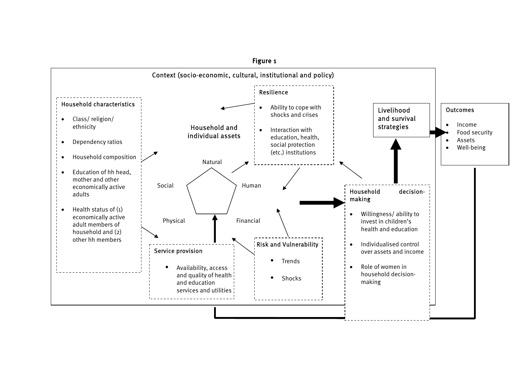

Figure 1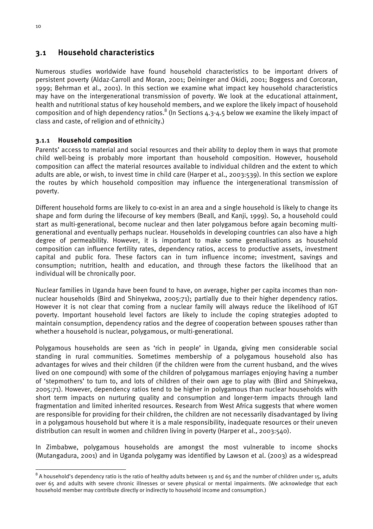# <span id="page-19-0"></span>3.1 Household characteristics

Numerous studies worldwide have found household characteristics to be important drivers of persistent poverty (Aldaz-Carroll and Moran, 2001; Deininger and Okidi, 2001; Boggess and Corcoran, 1999; Behrman et al., 2001). In this section we examine what impact key household characteristics may have on the intergenerational transmission of poverty. We look at the educational attainment, health and nutritional status of key household members, and we explore the likely impact of household composition and of high dependency ratios. $^8$  $^8$  (In Sections 4.3-4.5 below we examine the likely impact of class and caste, of religion and of ethnicity.)

# 3.1.1 Household composition

Parents' access to material and social resources and their ability to deploy them in ways that promote child well-being is probably more important than household composition. However, household composition can affect the material resources available to individual children and the extent to which adults are able, or wish, to invest time in child care (Harper et al., 2003:539). In this section we explore the routes by which household composition may influence the intergenerational transmission of poverty.

Different household forms are likely to co-exist in an area and a single household is likely to change its shape and form during the lifecourse of key members (Beall, and Kanji, 1999). So, a household could start as multi-generational, become nuclear and then later polygamous before again becoming multigenerational and eventually perhaps nuclear. Households in developing countries can also have a high degree of permeability. However, it is important to make some generalisations as household composition can influence fertility rates, dependency ratios, access to productive assets, investment capital and public fora. These factors can in turn influence income; investment, savings and consumption; nutrition, health and education, and through these factors the likelihood that an individual will be chronically poor.

Nuclear families in Uganda have been found to have, on average, higher per capita incomes than nonnuclear households (Bird and Shinyekwa, 2005:71); partially due to their higher dependency ratios. However it is not clear that coming from a nuclear family will always reduce the likelihood of IGT poverty. Important household level factors are likely to include the coping strategies adopted to maintain consumption, dependency ratios and the degree of cooperation between spouses rather than whether a household is nuclear, polygamous, or multi-generational.

Polygamous households are seen as 'rich in people' in Uganda, giving men considerable social standing in rural communities. Sometimes membership of a polygamous household also has advantages for wives and their children (if the children were from the current husband, and the wives lived on one compound) with some of the children of polygamous marriages enjoying having a number of 'stepmothers' to turn to, and lots of children of their own age to play with (Bird and Shinyekwa, 2005:71). However, dependency ratios tend to be higher in polygamous than nuclear households with short term impacts on nurturing quality and consumption and longer-term impacts through land fragmentation and limited inherited resources. Research from West Africa suggests that where women are responsible for providing for their children, the children are not necessarily disadvantaged by living in a polygamous household but where it is a male responsibility, inadequate resources or their uneven distribution can result in women and children living in poverty (Harper et al., 2003:540).

In Zimbabwe, polygamous households are amongst the most vulnerable to income shocks (Mutangadura, 2001) and in Uganda polygamy was identified by Lawson et al. (2003) as a widespread

<span id="page-19-1"></span>eral only a household's dependency ratio is the ratio of healthy adults between 15 and 65 and the number of children under 15, adults and  $^8$  A household's dependency ratio is the ratio of healthy adults between 15 and 65 over 65 and adults with severe chronic illnesses or severe physical or mental impairments. (We acknowledge that each household member may contribute directly or indirectly to household income and consumption.)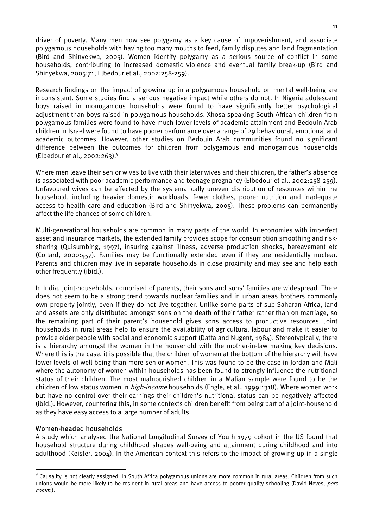driver of poverty. Many men now see polygamy as a key cause of impoverishment, and associate polygamous households with having too many mouths to feed, family disputes and land fragmentation (Bird and Shinyekwa, 2005). Women identify polygamy as a serious source of conflict in some households, contributing to increased domestic violence and eventual family break-up (Bird and Shinyekwa, 2005:71; Elbedour et al., 2002:258-259).

Research findings on the impact of growing up in a polygamous household on mental well-being are inconsistent. Some studies find a serious negative impact while others do not. In Nigeria adolescent boys raised in monogamous households were found to have significantly better psychological adjustment than boys raised in polygamous households. Xhosa-speaking South African children from polygamous families were found to have much lower levels of academic attainment and Bedouin Arab children in Israel were found to have poorer performance over a range of 29 behavioural, emotional and academic outcomes. However, other studies on Bedouin Arab communities found no significant difference between the outcomes for children from polygamous and monogamous households (Elbedour et al., 2002:263).[9](#page-20-0)

Where men leave their senior wives to live with their later wives and their children, the father's absence is associated with poor academic performance and teenage pregnancy (Elbedour et al., 2002:258-259). Unfavoured wives can be affected by the systematically uneven distribution of resources within the household, including heavier domestic workloads, fewer clothes, poorer nutrition and inadequate access to health care and education (Bird and Shinyekwa, 2005). These problems can permanently affect the life chances of some children.

Multi-generational households are common in many parts of the world. In economies with imperfect asset and insurance markets, the extended family provides scope for consumption smoothing and risksharing (Quisumbing, 1997), insuring against illness, adverse production shocks, bereavement etc (Collard, 2000:457). Families may be functionally extended even if they are residentially nuclear. Parents and children may live in separate households in close proximity and may see and help each other frequently (ibid.).

In India, joint-households, comprised of parents, their sons and sons' families are widespread. There does not seem to be a strong trend towards nuclear families and in urban areas brothers commonly own property jointly, even if they do not live together. Unlike some parts of sub-Saharan Africa, land and assets are only distributed amongst sons on the death of their father rather than on marriage, so the remaining part of their parent's household gives sons access to productive resources. Joint households in rural areas help to ensure the availability of agricultural labour and make it easier to provide older people with social and economic support (Datta and Nugent, 1984). Stereotypically, there is a hierarchy amongst the women in the household with the mother-in-law making key decisions. Where this is the case, it is possible that the children of women at the bottom of the hierarchy will have lower levels of well-being than more senior women. This was found to be the case in Jordan and Mali where the autonomy of women within households has been found to strongly influence the nutritional status of their children. The most malnourished children in a Malian sample were found to be the children of low status women in *high-income* households (Engle, et al., 1999:1318). Where women work but have no control over their earnings their children's nutritional status can be negatively affected (ibid.). However, countering this, in some contexts children benefit from being part of a joint-household as they have easy access to a large number of adults.

# Women-headed households

A study which analysed the National Longitudinal Survey of Youth 1979 cohort in the US found that household structure during childhood shapes well-being and attainment during childhood and into adulthood (Keister, 2004). In the American context this refers to the impact of growing up in a single

<span id="page-20-0"></span>9 Causality is not clearly assigned. In South Africa polygamous unions are more common in rural areas. Children from such unions would be more likely to be resident in rural areas and have access to poorer quality schooling (David Neves, pers comm.).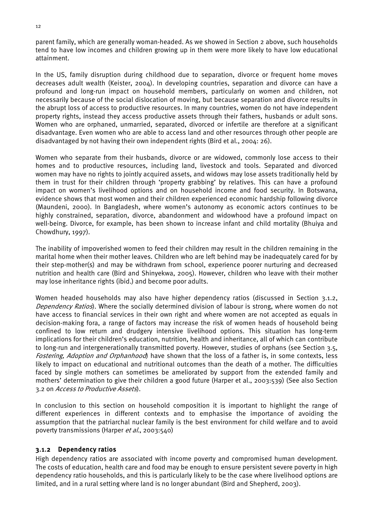parent family, which are generally woman-headed. As we showed in Section 2 above, such households tend to have low incomes and children growing up in them were more likely to have low educational attainment.

In the US, family disruption during childhood due to separation, divorce or frequent home moves decreases adult wealth (Keister, 2004). In developing countries, separation and divorce can have a profound and long-run impact on household members, particularly on women and children, not necessarily because of the social dislocation of moving, but because separation and divorce results in the abrupt loss of access to productive resources. In many countries, women do not have independent property rights, instead they access productive assets through their fathers, husbands or adult sons. Women who are orphaned, unmarried, separated, divorced or infertile are therefore at a significant disadvantage. Even women who are able to access land and other resources through other people are disadvantaged by not having their own independent rights (Bird et al., 2004: 26).

Women who separate from their husbands, divorce or are widowed, commonly lose access to their homes and to productive resources, including land, livestock and tools. Separated and divorced women may have no rights to jointly acquired assets, and widows may lose assets traditionally held by them in trust for their children through 'property grabbing' by relatives. This can have a profound impact on women's livelihood options and on household income and food security. In Botswana, evidence shows that most women and their children experienced economic hardship following divorce (Maundeni, 2000). In Bangladesh, where women's autonomy as economic actors continues to be highly constrained, separation, divorce, abandonment and widowhood have a profound impact on well-being. Divorce, for example, has been shown to increase infant and child mortality (Bhuiya and Chowdhury, 1997).

The inability of impoverished women to feed their children may result in the children remaining in the marital home when their mother leaves. Children who are left behind may be inadequately cared for by their step-mother(s) and may be withdrawn from school, experience poorer nurturing and decreased nutrition and health care (Bird and Shinyekwa, 2005). However, children who leave with their mother may lose inheritance rights (ibid.) and become poor adults.

Women headed households may also have higher dependency ratios (discussed in Section 3.1.2, Dependency Ratios). Where the socially determined division of labour is strong, where women do not have access to financial services in their own right and where women are not accepted as equals in decision-making fora, a range of factors may increase the risk of women heads of household being confined to low return and drudgery intensive livelihood options. This situation has long-term implications for their children's education, nutrition, health and inheritance, all of which can contribute to long-run and intergenerationally transmitted poverty. However, studies of orphans (see Section 3.5, Fostering, Adoption and Orphanhood) have shown that the loss of a father is, in some contexts, less likely to impact on educational and nutritional outcomes than the death of a mother. The difficulties faced by single mothers can sometimes be ameliorated by support from the extended family and mothers' determination to give their children a good future (Harper et al., 2003:539) (See also Section 3.2 on Access to Productive Assets).

In conclusion to this section on household composition it is important to highlight the range of different experiences in different contexts and to emphasise the importance of avoiding the assumption that the patriarchal nuclear family is the best environment for child welfare and to avoid poverty transmissions (Harper et al., 2003:540)

# 3.1.2 Dependency ratios

High dependency ratios are associated with income poverty and compromised human development. The costs of education, health care and food may be enough to ensure persistent severe poverty in high dependency ratio households, and this is particularly likely to be the case where livelihood options are limited, and in a rural setting where land is no longer abundant (Bird and Shepherd, 2003).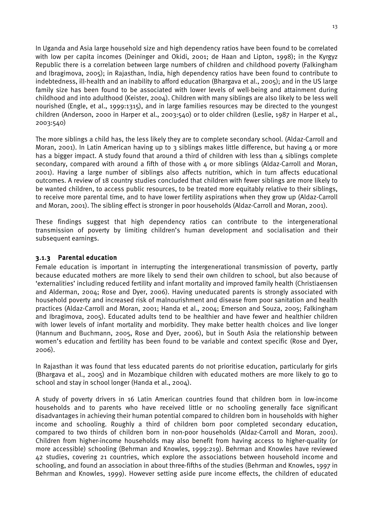In Uganda and Asia large household size and high dependency ratios have been found to be correlated with low per capita incomes (Deininger and Okidi, 2001; de Haan and Lipton, 1998); in the Kyrgyz Republic there is a correlation between large numbers of children and childhood poverty (Falkingham and Ibragimova, 2005); in Rajasthan, India, high dependency ratios have been found to contribute to indebtedness, ill-health and an inability to afford education (Bhargava et al., 2005); and in the US large family size has been found to be associated with lower levels of well-being and attainment during childhood and into adulthood (Keister, 2004). Children with many siblings are also likely to be less well nourished (Engle, et al., 1999:1315), and in large families resources may be directed to the youngest children (Anderson, 2000 in Harper et al., 2003:540) or to older children (Leslie, 1987 in Harper et al., 2003:540)

The more siblings a child has, the less likely they are to complete secondary school. (Aldaz-Carroll and Moran, 2001). In Latin American having up to 3 siblings makes little difference, but having 4 or more has a bigger impact. A study found that around a third of children with less than 4 siblings complete secondary, compared with around a fifth of those with 4 or more siblings (Aldaz-Carroll and Moran, 2001). Having a large number of siblings also affects nutrition, which in turn affects educational outcomes. A review of 18 country studies concluded that children with fewer siblings are more likely to be wanted children, to access public resources, to be treated more equitably relative to their siblings, to receive more parental time, and to have lower fertility aspirations when they grow up (Aldaz-Carroll and Moran, 2001). The sibling effect is stronger in poor households (Aldaz-Carroll and Moran, 2001).

These findings suggest that high dependency ratios can contribute to the intergenerational transmission of poverty by limiting children's human development and socialisation and their subsequent earnings.

# 3.1.3 Parental education

Female education is important in interrupting the intergenerational transmission of poverty, partly because educated mothers are more likely to send their own children to school, but also because of 'externalities' including reduced fertility and infant mortality and improved family health (Christiaensen and Alderman, 2004; Rose and Dyer, 2006). Having uneducated parents is strongly associated with household poverty and increased risk of malnourishment and disease from poor sanitation and health practices (Aldaz-Carroll and Moran, 2001; Handa et al., 2004; Emerson and Souza, 2005; Falkingham and Ibragimova, 2005). Educated adults tend to be healthier and have fewer and healthier children with lower levels of infant mortality and morbidity. They make better health choices and live longer (Hannum and Buchmann, 2005, Rose and Dyer, 2006), but in South Asia the relationship between women's education and fertility has been found to be variable and context specific (Rose and Dyer, 2006).

In Rajasthan it was found that less educated parents do not prioritise education, particularly for girls (Bhargava et al., 2005) and in Mozambique children with educated mothers are more likely to go to school and stay in school longer (Handa et al., 2004).

A study of poverty drivers in 16 Latin American countries found that children born in low-income households and to parents who have received little or no schooling generally face significant disadvantages in achieving their human potential compared to children born in households with higher income and schooling. Roughly a third of children born poor completed secondary education, compared to two thirds of children born in non-poor households (Aldaz-Carroll and Moran, 2001). Children from higher-income households may also benefit from having access to higher-quality (or more accessible) schooling (Behrman and Knowles, 1999:219). Behrman and Knowles have reviewed 42 studies, covering 21 countries, which explore the associations between household income and schooling, and found an association in about three-fifths of the studies (Behrman and Knowles, 1997 in Behrman and Knowles, 1999). However setting aside pure income effects, the children of educated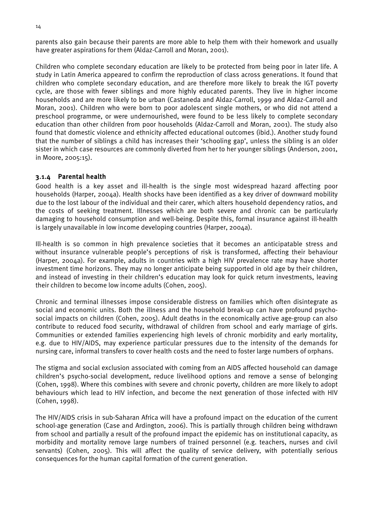parents also gain because their parents are more able to help them with their homework and usually have greater aspirations for them (Aldaz-Carroll and Moran, 2001).

Children who complete secondary education are likely to be protected from being poor in later life. A study in Latin America appeared to confirm the reproduction of class across generations. It found that children who complete secondary education, and are therefore more likely to break the IGT poverty cycle, are those with fewer siblings and more highly educated parents. They live in higher income households and are more likely to be urban (Castaneda and Aldaz-Carroll, 1999 and Aldaz-Carroll and Moran, 2001). Children who were born to poor adolescent single mothers, or who did not attend a preschool programme, or were undernourished, were found to be less likely to complete secondary education than other children from poor households (Aldaz-Carroll and Moran, 2001). The study also found that domestic violence and ethnicity affected educational outcomes (ibid.). Another study found that the number of siblings a child has increases their 'schooling gap', unless the sibling is an older sister in which case resources are commonly diverted from her to her younger siblings (Anderson, 2001, in Moore, 2005:15).

# 3.1.4 Parental health

Good health is a key asset and ill-health is the single most widespread hazard affecting poor households (Harper, 2004a). Health shocks have been identified as a key driver of downward mobility due to the lost labour of the individual and their carer, which alters household dependency ratios, and the costs of seeking treatment. Illnesses which are both severe and chronic can be particularly damaging to household consumption and well-being. Despite this, formal insurance against ill-health is largely unavailable in low income developing countries (Harper, 2004a).

Ill-health is so common in high prevalence societies that it becomes an anticipatable stress and without insurance vulnerable people's perceptions of risk is transformed, affecting their behaviour (Harper, 2004a). For example, adults in countries with a high HIV prevalence rate may have shorter investment time horizons. They may no longer anticipate being supported in old age by their children, and instead of investing in their children's education may look for quick return investments, leaving their children to become low income adults (Cohen, 2005).

Chronic and terminal illnesses impose considerable distress on families which often disintegrate as social and economic units. Both the illness and the household break-up can have profound psychosocial impacts on children (Cohen, 2005). Adult deaths in the economically active age-group can also contribute to reduced food security, withdrawal of children from school and early marriage of girls. Communities or extended families experiencing high levels of chronic morbidity and early mortality, e.g. due to HIV/AIDS, may experience particular pressures due to the intensity of the demands for nursing care, informal transfers to cover health costs and the need to foster large numbers of orphans.

The stigma and social exclusion associated with coming from an AIDS affected household can damage children's psycho-social development, reduce livelihood options and remove a sense of belonging (Cohen, 1998). Where this combines with severe and chronic poverty, children are more likely to adopt behaviours which lead to HIV infection, and become the next generation of those infected with HIV (Cohen, 1998).

The HIV/AIDS crisis in sub-Saharan Africa will have a profound impact on the education of the current school-age generation (Case and Ardington, 2006). This is partially through children being withdrawn from school and partially a result of the profound impact the epidemic has on institutional capacity, as morbidity and mortality remove large numbers of trained personnel (e.g. teachers, nurses and civil servants) (Cohen, 2005). This will affect the quality of service delivery, with potentially serious consequences for the human capital formation of the current generation.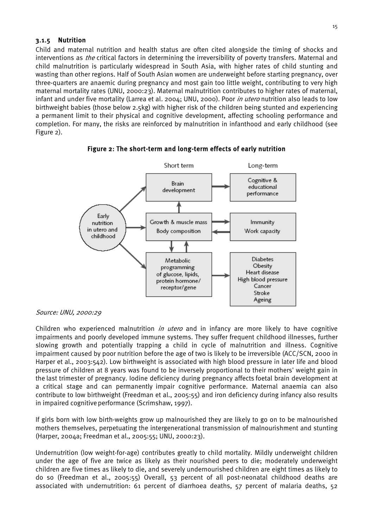#### 3.1.5 Nutrition

Child and maternal nutrition and health status are often cited alongside the timing of shocks and interventions as *the* critical factors in determining the irreversibility of poverty transfers. Maternal and child malnutrition is particularly widespread in South Asia, with higher rates of child stunting and wasting than other regions. Half of South Asian women are underweight before starting pregnancy, over three-quarters are anaemic during pregnancy and most gain too little weight, contributing to very high maternal mortality rates (UNU, 2000:23). Maternal malnutrition contributes to higher rates of maternal, infant and under five mortality (Larrea et al. 2004; UNU, 2000). Poor in utero nutrition also leads to low birthweight babies (those below 2.5kg) with higher risk of the children being stunted and experiencing a permanent limit to their physical and cognitive development, affecting schooling performance and completion. For many, the risks are reinforced by malnutrition in infanthood and early childhood (see Figure 2).



#### Figure 2: The short-term and long-term effects of early nutrition

#### Source: UNU, 2000:29

Children who experienced malnutrition *in utero* and in infancy are more likely to have cognitive impairments and poorly developed immune systems. They suffer frequent childhood illnesses, further slowing growth and potentially trapping a child in cycle of malnutrition and illness. Cognitive impairment caused by poor nutrition before the age of two is likely to be irreversible (ACC/SCN, 2000 in Harper et al., 2003:542). Low birthweight is associated with high blood pressure in later life and blood pressure of children at 8 years was found to be inversely proportional to their mothers' weight gain in the last trimester of pregnancy. Iodine deficiency during pregnancy affects foetal brain development at a critical stage and can permanently impair cognitive performance. Maternal anaemia can also contribute to low birthweight (Freedman et al., 2005:55) and iron deficiency during infancy also results in impaired cognitive performance (Scrimshaw, 1997).

If girls born with low birth-weights grow up malnourished they are likely to go on to be malnourished mothers themselves, perpetuating the intergenerational transmission of malnourishment and stunting (Harper, 2004a; Freedman et al., 2005:55; UNU, 2000:23).

Undernutrition (low weight-for-age) contributes greatly to child mortality. Mildly underweight children under the age of five are twice as likely as their nourished peers to die; moderately underweight children are five times as likely to die, and severely undernourished children are eight times as likely to do so (Freedman et al., 2005:55) Overall, 53 percent of all post-neonatal childhood deaths are associated with undernutrition: 61 percent of diarrhoea deaths, 57 percent of malaria deaths, 52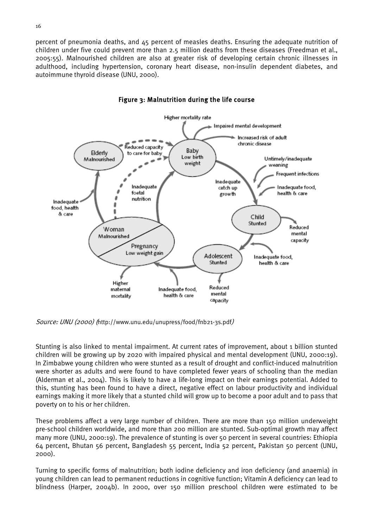percent of pneumonia deaths, and 45 percent of measles deaths. Ensuring the adequate nutrition of children under five could prevent more than 2.5 million deaths from these diseases (Freedman et al., 2005:55). Malnourished children are also at greater risk of developing certain chronic illnesses in adulthood, including hypertension, coronary heart disease, non-insulin dependent diabetes, and autoimmune thyroid disease (UNU, 2000).



#### Figure 3: Malnutrition during the life course

Source: UNU (2000) (http://www.unu.edu/unupress/food/fnb21-3s.pdf)

Stunting is also linked to mental impairment. At current rates of improvement, about 1 billion stunted children will be growing up by 2020 with impaired physical and mental development (UNU, 2000:19). In Zimbabwe young children who were stunted as a result of drought and conflict-induced malnutrition were shorter as adults and were found to have completed fewer years of schooling than the median (Alderman et al., 2004). This is likely to have a life-long impact on their earnings potential. Added to this, stunting has been found to have a direct, negative effect on labour productivity and individual earnings making it more likely that a stunted child will grow up to become a poor adult and to pass that poverty on to his or her children.

These problems affect a very large number of children. There are more than 150 million underweight pre-school children worldwide, and more than 200 million are stunted. Sub-optimal growth may affect many more (UNU, 2000:19). The prevalence of stunting is over 50 percent in several countries: Ethiopia 64 percent, Bhutan 56 percent, Bangladesh 55 percent, India 52 percent, Pakistan 50 percent (UNU, 2000).

Turning to specific forms of malnutrition; both iodine deficiency and iron deficiency (and anaemia) in young children can lead to permanent reductions in cognitive function; Vitamin A deficiency can lead to blindness (Harper, 2004b). In 2000, over 150 million preschool children were estimated to be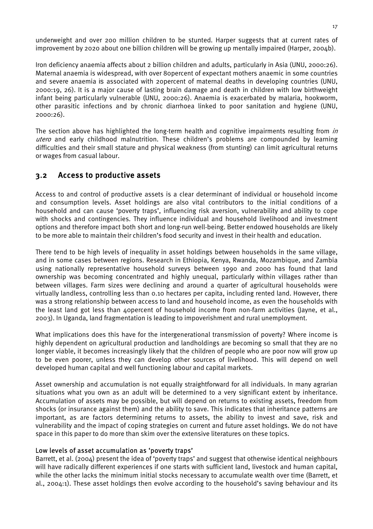<span id="page-26-0"></span>underweight and over 200 million children to be stunted. Harper suggests that at current rates of improvement by 2020 about one billion children will be growing up mentally impaired (Harper, 2004b).

Iron deficiency anaemia affects about 2 billion children and adults, particularly in Asia (UNU, 2000:26). Maternal anaemia is widespread, with over 80percent of expectant mothers anaemic in some countries and severe anaemia is associated with 20percent of maternal deaths in developing countries (UNU, 2000:19, 26). It is a major cause of lasting brain damage and death in children with low birthweight infant being particularly vulnerable (UNU, 2000:26). Anaemia is exacerbated by malaria, hookworm, other parasitic infections and by chronic diarrhoea linked to poor sanitation and hygiene (UNU, 2000:26).

The section above has highlighted the long-term health and cognitive impairments resulting from in utero and early childhood malnutrition. These children's problems are compounded by learning difficulties and their small stature and physical weakness (from stunting) can limit agricultural returns or wages from casual labour.

# 3.2 Access to productive assets

Access to and control of productive assets is a clear determinant of individual or household income and consumption levels. Asset holdings are also vital contributors to the initial conditions of a household and can cause 'poverty traps', influencing risk aversion, vulnerability and ability to cope with shocks and contingencies. They influence individual and household livelihood and investment options and therefore impact both short and long-run well-being. Better endowed households are likely to be more able to maintain their children's food security and invest in their health and education.

There tend to be high levels of inequality in asset holdings between households in the same village, and in some cases between regions. Research in Ethiopia, Kenya, Rwanda, Mozambique, and Zambia using nationally representative household surveys between 1990 and 2000 has found that land ownership was becoming concentrated and highly unequal, particularly within villages rather than between villages. Farm sizes were declining and around a quarter of agricultural households were virtually landless, controlling less than 0.10 hectares per capita, including rented land. However, there was a strong relationship between access to land and household income, as even the households with the least land got less than 40percent of household income from non-farm activities (Jayne, et al., 2003). In Uganda, land fragmentation is leading to impoverishment and rural unemployment.

What implications does this have for the intergenerational transmission of poverty? Where income is highly dependent on agricultural production and landholdings are becoming so small that they are no longer viable, it becomes increasingly likely that the children of people who are poor now will grow up to be even poorer, unless they can develop other sources of livelihood. This will depend on well developed human capital and well functioning labour and capital markets.

Asset ownership and accumulation is not equally straightforward for all individuals. In many agrarian situations what you own as an adult will be determined to a very significant extent by inheritance. Accumulation of assets may be possible, but will depend on returns to existing assets, freedom from shocks (or insurance against them) and the ability to save. This indicates that inheritance patterns are important, as are factors determining returns to assets, the ability to invest and save, risk and vulnerability and the impact of coping strategies on current and future asset holdings. We do not have space in this paper to do more than skim over the extensive literatures on these topics.

# Low levels of asset accumulation as 'poverty traps'

Barrett, et al. (2004) present the idea of 'poverty traps' and suggest that otherwise identical neighbours will have radically different experiences if one starts with sufficient land, livestock and human capital, while the other lacks the minimum initial stocks necessary to accumulate wealth over time (Barrett, et al., 2004:1). These asset holdings then evolve according to the household's saving behaviour and its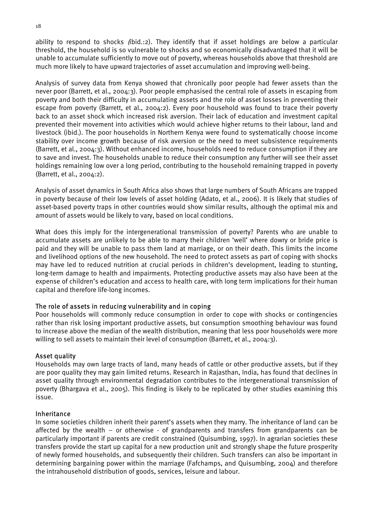ability to respond to shocks (ibid.:2). They identify that if asset holdings are below a particular threshold, the household is so vulnerable to shocks and so economically disadvantaged that it will be unable to accumulate sufficiently to move out of poverty, whereas households above that threshold are much more likely to have upward trajectories of asset accumulation and improving well-being.

Analysis of survey data from Kenya showed that chronically poor people had fewer assets than the never poor (Barrett, et al., 2004:3). Poor people emphasised the central role of assets in escaping from poverty and both their difficulty in accumulating assets and the role of asset losses in preventing their escape from poverty (Barrett, et al., 2004:2). Every poor household was found to trace their poverty back to an asset shock which increased risk aversion. Their lack of education and investment capital prevented their movement into activities which would achieve higher returns to their labour, land and livestock (ibid.). The poor households in Northern Kenya were found to systematically choose income stability over income growth because of risk aversion or the need to meet subsistence requirements (Barrett, et al., 2004:3). Without enhanced income, households need to reduce consumption if they are to save and invest. The households unable to reduce their consumption any further will see their asset holdings remaining low over a long period, contributing to the household remaining trapped in poverty (Barrett, et al., 2004:2).

Analysis of asset dynamics in South Africa also shows that large numbers of South Africans are trapped in poverty because of their low levels of asset holding (Adato, et al., 2006). It is likely that studies of asset-based poverty traps in other countries would show similar results, although the optimal mix and amount of assets would be likely to vary, based on local conditions.

What does this imply for the intergenerational transmission of poverty? Parents who are unable to accumulate assets are unlikely to be able to marry their children 'well' where dowry or bride price is paid and they will be unable to pass them land at marriage, or on their death. This limits the income and livelihood options of the new household. The need to protect assets as part of coping with shocks may have led to reduced nutrition at crucial periods in children's development, leading to stunting, long-term damage to health and impairments. Protecting productive assets may also have been at the expense of children's education and access to health care, with long term implications for their human capital and therefore life-long incomes.

# The role of assets in reducing vulnerability and in coping

Poor households will commonly reduce consumption in order to cope with shocks or contingencies rather than risk losing important productive assets, but consumption smoothing behaviour was found to increase above the median of the wealth distribution, meaning that less poor households were more willing to sell assets to maintain their level of consumption (Barrett, et al., 2004:3).

# Asset quality

Households may own large tracts of land, many heads of cattle or other productive assets, but if they are poor quality they may gain limited returns. Research in Rajasthan, India, has found that declines in asset quality through environmental degradation contributes to the intergenerational transmission of poverty (Bhargava et al., 2005). This finding is likely to be replicated by other studies examining this issue.

# Inheritance

In some societies children inherit their parent's assets when they marry. The inheritance of land can be affected by the wealth – or otherwise - of grandparents and transfers from grandparents can be particularly important if parents are credit constrained (Quisumbing, 1997). In agrarian societies these transfers provide the start up capital for a new production unit and strongly shape the future prosperity of newly formed households, and subsequently their children. Such transfers can also be important in determining bargaining power within the marriage (Fafchamps, and Quisumbing, 2004) and therefore the intrahousehold distribution of goods, services, leisure and labour.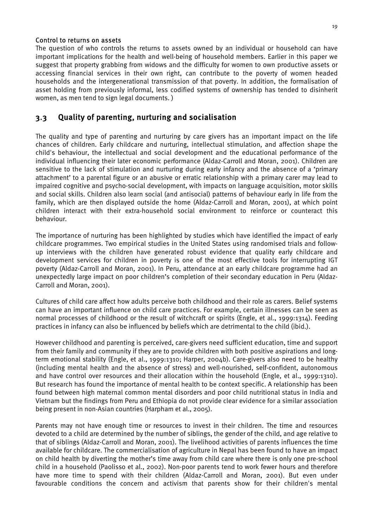#### <span id="page-28-0"></span>Control to returns on assets

The question of who controls the returns to assets owned by an individual or household can have important implications for the health and well-being of household members. Earlier in this paper we suggest that property grabbing from widows and the difficulty for women to own productive assets or accessing financial services in their own right, can contribute to the poverty of women headed households and the intergenerational transmission of that poverty. In addition, the formalisation of asset holding from previously informal, less codified systems of ownership has tended to disinherit women, as men tend to sign legal documents. )

# 3.3 Quality of parenting, nurturing and socialisation

The quality and type of parenting and nurturing by care givers has an important impact on the life chances of children. Early childcare and nurturing, intellectual stimulation, and affection shape the child's behaviour, the intellectual and social development and the educational performance of the individual influencing their later economic performance (Aldaz-Carroll and Moran, 2001). Children are sensitive to the lack of stimulation and nurturing during early infancy and the absence of a 'primary attachment' to a parental figure or an abusive or erratic relationship with a primary carer may lead to impaired cognitive and psycho-social development, with impacts on language acquisition, motor skills and social skills. Children also learn social (and antisocial) patterns of behaviour early in life from the family, which are then displayed outside the home (Aldaz-Carroll and Moran, 2001), at which point children interact with their extra-household social environment to reinforce or counteract this behaviour.

The importance of nurturing has been highlighted by studies which have identified the impact of early childcare programmes. Two empirical studies in the United States using randomised trials and followup interviews with the children have generated robust evidence that quality early childcare and development services for children in poverty is one of the most effective tools for interrupting IGT poverty (Aldaz-Carroll and Moran, 2001). In Peru, attendance at an early childcare programme had an unexpectedly large impact on poor children's completion of their secondary education in Peru (Aldaz-Carroll and Moran, 2001).

Cultures of child care affect how adults perceive both childhood and their role as carers. Belief systems can have an important influence on child care practices. For example, certain illnesses can be seen as normal processes of childhood or the result of witchcraft or spirits (Engle, et al., 1999:1314). Feeding practices in infancy can also be influenced by beliefs which are detrimental to the child (ibid.).

However childhood and parenting is perceived, care-givers need sufficient education, time and support from their family and community if they are to provide children with both positive aspirations and longterm emotional stability (Engle, et al., 1999:1310; Harper, 2004b). Care-givers also need to be healthy (including mental health and the absence of stress) and well-nourished, self-confident, autonomous and have control over resources and their allocation within the household (Engle, et al., 1999:1310). But research has found the importance of mental health to be context specific. A relationship has been found between high maternal common mental disorders and poor child nutritional status in India and Vietnam but the findings from Peru and Ethiopia do not provide clear evidence for a similar association being present in non-Asian countries (Harpham et al., 2005).

Parents may not have enough time or resources to invest in their children. The time and resources devoted to a child are determined by the number of siblings, the gender of the child, and age relative to that of siblings (Aldaz-Carroll and Moran, 2001). The livelihood activities of parents influences the time available for childcare. The commercialisation of agriculture in Nepal has been found to have an impact on child health by diverting the mother's time away from child care where there is only one pre-school child in a household (Paolisso et al., 2002). Non-poor parents tend to work fewer hours and therefore have more time to spend with their children (Aldaz-Carroll and Moran, 2001). But even under favourable conditions the concern and activism that parents show for their children's mental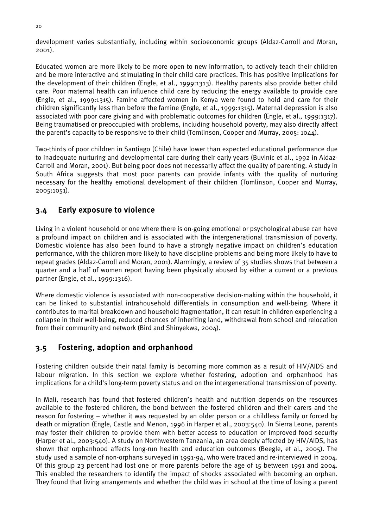<span id="page-29-0"></span>development varies substantially, including within socioeconomic groups (Aldaz-Carroll and Moran, 2001).

Educated women are more likely to be more open to new information, to actively teach their children and be more interactive and stimulating in their child care practices. This has positive implications for the development of their children (Engle, et al., 1999:1313). Healthy parents also provide better child care. Poor maternal health can influence child care by reducing the energy available to provide care (Engle, et al., 1999:1315). Famine affected women in Kenya were found to hold and care for their children significantly less than before the famine (Engle, et al., 1999:1315). Maternal depression is also associated with poor care giving and with problematic outcomes for children (Engle, et al., 1999:1317). Being traumatised or preoccupied with problems, including household poverty, may also directly affect the parent's capacity to be responsive to their child (Tomlinson, Cooper and Murray, 2005: 1044).

Two-thirds of poor children in Santiago (Chile) have lower than expected educational performance due to inadequate nurturing and developmental care during their early years (Buvinic et al., 1992 in Aldaz-Carroll and Moran, 2001). But being poor does not necessarily affect the quality of parenting. A study in South Africa suggests that most poor parents can provide infants with the quality of nurturing necessary for the healthy emotional development of their children (Tomlinson, Cooper and Murray, 2005:1051).

# 3.4 Early exposure to violence

Living in a violent household or one where there is on-going emotional or psychological abuse can have a profound impact on children and is associated with the intergenerational transmission of poverty. Domestic violence has also been found to have a strongly negative impact on children's education performance, with the children more likely to have discipline problems and being more likely to have to repeat grades (Aldaz-Carroll and Moran, 2001). Alarmingly, a review of 35 studies shows that between a quarter and a half of women report having been physically abused by either a current or a previous partner (Engle, et al., 1999:1316).

Where domestic violence is associated with non-cooperative decision-making within the household, it can be linked to substantial intrahousehold differentials in consumption and well-being. Where it contributes to marital breakdown and household fragmentation, it can result in children experiencing a collapse in their well-being, reduced chances of inheriting land, withdrawal from school and relocation from their community and network (Bird and Shinyekwa, 2004).

# 3.5 Fostering, adoption and orphanhood

Fostering children outside their natal family is becoming more common as a result of HIV/AIDS and labour migration. In this section we explore whether fostering, adoption and orphanhood has implications for a child's long-term poverty status and on the intergenerational transmission of poverty.

In Mali, research has found that fostered children's health and nutrition depends on the resources available to the fostered children, the bond between the fostered children and their carers and the reason for fostering – whether it was requested by an older person or a childless family or forced by death or migration (Engle, Castle and Menon, 1996 in Harper et al., 2003:540). In Sierra Leone, parents may foster their children to provide them with better access to education or improved food security (Harper et al., 2003:540). A study on Northwestern Tanzania, an area deeply affected by HIV/AIDS, has shown that orphanhood affects long-run health and education outcomes (Beegle, et al., 2005). The study used a sample of non-orphans surveyed in 1991-94, who were traced and re-interviewed in 2004. Of this group 23 percent had lost one or more parents before the age of 15 between 1991 and 2004. This enabled the researchers to identify the impact of shocks associated with becoming an orphan. They found that living arrangements and whether the child was in school at the time of losing a parent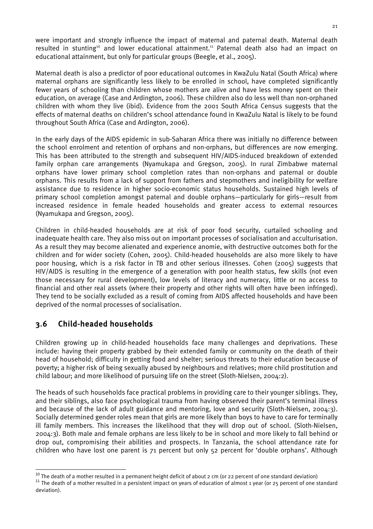<span id="page-30-0"></span>were important and strongly influence the impact of maternal and paternal death. Maternal death resulted in stunting<sup>10</sup> and lower educational attainment.<sup>11</sup> Paternal death also had an impact on educational attainment, but only for particular groups (Beegle, et al., 2005).

Maternal death is also a predictor of poor educational outcomes in KwaZulu Natal (South Africa) where maternal orphans are significantly less likely to be enrolled in school, have completed significantly fewer years of schooling than children whose mothers are alive and have less money spent on their education, on average (Case and Ardington, 2006). These children also do less well than non-orphaned children with whom they live (ibid). Evidence from the 2001 South Africa Census suggests that the effects of maternal deaths on children's school attendance found in KwaZulu Natal is likely to be found throughout South Africa (Case and Ardington, 2006).

In the early days of the AIDS epidemic in sub-Saharan Africa there was initially no difference between the school enrolment and retention of orphans and non-orphans, but differences are now emerging. This has been attributed to the strength and subsequent HIV/AIDS-induced breakdown of extended family orphan care arrangements (Nyamukapa and Gregson, 2005). In rural Zimbabwe maternal orphans have lower primary school completion rates than non-orphans and paternal or double orphans. This results from a lack of support from fathers and stepmothers and ineligibility for welfare assistance due to residence in higher socio-economic status households. Sustained high levels of primary school completion amongst paternal and double orphans—particularly for girls—result from increased residence in female headed households and greater access to external resources (Nyamukapa and Gregson, 2005).

Children in child-headed households are at risk of poor food security, curtailed schooling and inadequate health care. They also miss out on important processes of socialisation and acculturisation. As a result they may become alienated and experience anomie, with destructive outcomes both for the children and for wider society (Cohen, 2005). Child-headed households are also more likely to have poor housing, which is a risk factor in TB and other serious illnesses. Cohen (2005) suggests that HIV/AIDS is resulting in the emergence of a generation with poor health status, few skills (not even those necessary for rural development), low levels of literacy and numeracy, little or no access to financial and other real assets (where their property and other rights will often have been infringed). They tend to be socially excluded as a result of coming from AIDS affected households and have been deprived of the normal processes of socialisation.

# 3.6 Child-headed households

Children growing up in child-headed households face many challenges and deprivations. These include: having their property grabbed by their extended family or community on the death of their head of household; difficulty in getting food and shelter; serious threats to their education because of poverty; a higher risk of being sexually abused by neighbours and relatives; more child prostitution and child labour; and more likelihood of pursuing life on the street (Sloth-Nielsen, 2004:2).

The heads of such households face practical problems in providing care to their younger siblings. They, and their siblings, also face psychological trauma from having observed their parent's terminal illness and because of the lack of adult guidance and mentoring, love and security (Sloth-Nielsen, 2004:3). Socially determined gender roles mean that girls are more likely than boys to have to care for terminally ill family members. This increases the likelihood that they will drop out of school. (Sloth-Nielsen, 2004:3). Both male and female orphans are less likely to be in school and more likely to fall behind or drop out, compromising their abilities and prospects. In Tanzania, the school attendance rate for children who have lost one parent is 71 percent but only 52 percent for 'double orphans'. Although

<span id="page-30-1"></span><sup>&</sup>lt;sup>10</sup> The death of a mother resulted in a permanent height deficit of about 2 cm (or 22 percent of one standard deviation)<br><sup>11</sup> The death of a mother resulted in a persistent impact on years of education of almost 1 year (

<span id="page-30-2"></span>deviation).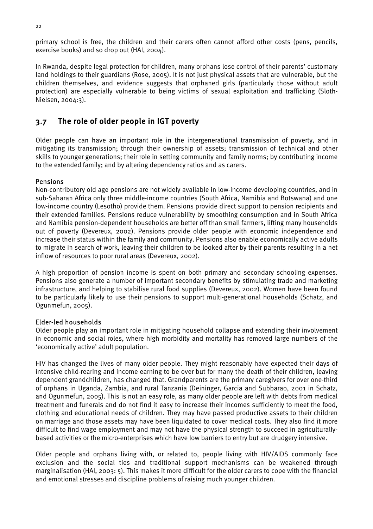<span id="page-31-0"></span>primary school is free, the children and their carers often cannot afford other costs (pens, pencils, exercise books) and so drop out (HAI, 2004).

In Rwanda, despite legal protection for children, many orphans lose control of their parents' customary land holdings to their guardians (Rose, 2005). It is not just physical assets that are vulnerable, but the children themselves, and evidence suggests that orphaned girls (particularly those without adult protection) are especially vulnerable to being victims of sexual exploitation and trafficking (Sloth-Nielsen, 2004:3).

# 3.7 The role of older people in IGT poverty

Older people can have an important role in the intergenerational transmission of poverty, and in mitigating its transmission; through their ownership of assets; transmission of technical and other skills to younger generations; their role in setting community and family norms; by contributing income to the extended family; and by altering dependency ratios and as carers.

# Pensions

Non-contributory old age pensions are not widely available in low-income developing countries, and in sub-Saharan Africa only three middle-income countries (South Africa, Namibia and Botswana) and one low-income country (Lesotho) provide them. Pensions provide direct support to pension recipients and their extended families. Pensions reduce vulnerability by smoothing consumption and in South Africa and Namibia pension-dependent households are better off than small farmers, lifting many households out of poverty (Devereux, 2002). Pensions provide older people with economic independence and increase their status within the family and community. Pensions also enable economically active adults to migrate in search of work, leaving their children to be looked after by their parents resulting in a net inflow of resources to poor rural areas (Devereux, 2002).

A high proportion of pension income is spent on both primary and secondary schooling expenses. Pensions also generate a number of important secondary benefits by stimulating trade and marketing infrastructure, and helping to stabilise rural food supplies (Devereux, 2002). Women have been found to be particularly likely to use their pensions to support multi-generational households (Schatz, and Ogunmefun, 2005).

# Elder-led households

Older people play an important role in mitigating household collapse and extending their involvement in economic and social roles, where high morbidity and mortality has removed large numbers of the 'economically active' adult population.

HIV has changed the lives of many older people. They might reasonably have expected their days of intensive child-rearing and income earning to be over but for many the death of their children, leaving dependent grandchildren, has changed that. Grandparents are the primary caregivers for over one-third of orphans in Uganda, Zambia, and rural Tanzania (Deininger, Garcia and Subbarao, 2001 in Schatz, and Ogunmefun, 2005). This is not an easy role, as many older people are left with debts from medical treatment and funerals and do not find it easy to increase their incomes sufficiently to meet the food, clothing and educational needs of children. They may have passed productive assets to their children on marriage and those assets may have been liquidated to cover medical costs. They also find it more difficult to find wage employment and may not have the physical strength to succeed in agriculturallybased activities or the micro-enterprises which have low barriers to entry but are drudgery intensive.

Older people and orphans living with, or related to, people living with HIV/AIDS commonly face exclusion and the social ties and traditional support mechanisms can be weakened through marginalisation (HAI, 2003: 5). This makes it more difficult for the older carers to cope with the financial and emotional stresses and discipline problems of raising much younger children.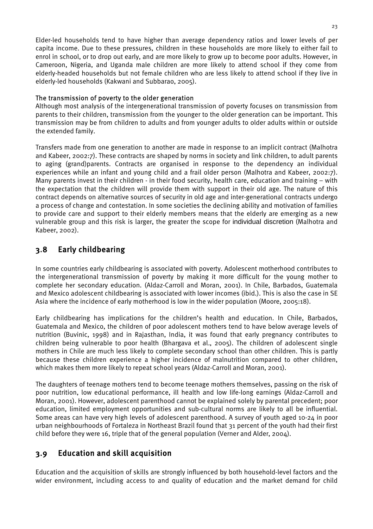<span id="page-32-0"></span>Elder-led households tend to have higher than average dependency ratios and lower levels of per capita income. Due to these pressures, children in these households are more likely to either fail to enrol in school, or to drop out early, and are more likely to grow up to become poor adults. However, in Cameroon, Nigeria, and Uganda male children are more likely to attend school if they come from elderly-headed households but not female children who are less likely to attend school if they live in elderly-led households (Kakwani and Subbarao, 2005).

# The transmission of poverty to the older generation

Although most analysis of the intergenerational transmission of poverty focuses on transmission from parents to their children, transmission from the younger to the older generation can be important. This transmission may be from children to adults and from younger adults to older adults within or outside the extended family.

Transfers made from one generation to another are made in response to an implicit contract (Malhotra and Kabeer, 2002:7). These contracts are shaped by norms in society and link children, to adult parents to aging (grand)parents. Contracts are organised in response to the dependency an individual experiences while an infant and young child and a frail older person (Malhotra and Kabeer, 2002:7). Many parents invest in their children - in their food security, health care, education and training – with the expectation that the children will provide them with support in their old age. The nature of this contract depends on alternative sources of security in old age and inter-generational contracts undergo a process of change and contestation. In some societies the declining ability and motivation of families to provide care and support to their elderly members means that the elderly are emerging as a new vulnerable group and this risk is larger, the greater the scope for individual discretion (Malhotra and Kabeer, 2002).

# 3.8 Early childbearing

In some countries early childbearing is associated with poverty. Adolescent motherhood contributes to the intergenerational transmission of poverty by making it more difficult for the young mother to complete her secondary education. (Aldaz-Carroll and Moran, 2001). In Chile, Barbados, Guatemala and Mexico adolescent childbearing is associated with lower incomes (ibid.). This is also the case in SE Asia where the incidence of early motherhood is low in the wider population (Moore, 2005:18).

Early childbearing has implications for the children's health and education. In Chile, Barbados, Guatemala and Mexico, the children of poor adolescent mothers tend to have below average levels of nutrition (Buvinic, 1998) and in Rajasthan, India, it was found that early pregnancy contributes to children being vulnerable to poor health (Bhargava et al., 2005). The children of adolescent single mothers in Chile are much less likely to complete secondary school than other children. This is partly because these children experience a higher incidence of malnutrition compared to other children, which makes them more likely to repeat school years (Aldaz-Carroll and Moran, 2001).

The daughters of teenage mothers tend to become teenage mothers themselves, passing on the risk of poor nutrition, low educational performance, ill health and low life-long earnings (Aldaz-Carroll and Moran, 2001). However, adolescent parenthood cannot be explained solely by parental precedent; poor education, limited employment opportunities and sub-cultural norms are likely to all be influential. Some areas can have very high levels of adolescent parenthood. A survey of youth aged 10-24 in poor urban neighbourhoods of Fortaleza in Northeast Brazil found that 31 percent of the youth had their first child before they were 16, triple that of the general population (Verner and Alder, 2004).

# 3.9 Education and skill acquisition

Education and the acquisition of skills are strongly influenced by both household-level factors and the wider environment, including access to and quality of education and the market demand for child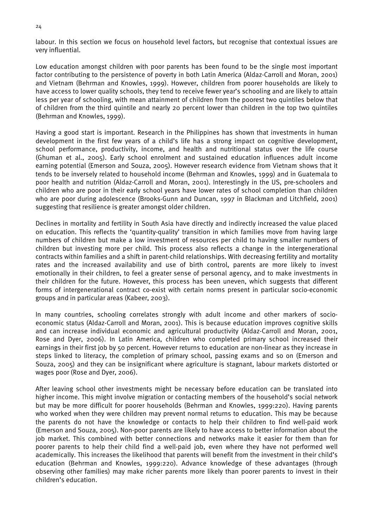labour. In this section we focus on household level factors, but recognise that contextual issues are very influential.

Low education amongst children with poor parents has been found to be the single most important factor contributing to the persistence of poverty in both Latin America (Aldaz-Carroll and Moran, 2001) and Vietnam (Behrman and Knowles, 1999). However, children from poorer households are likely to have access to lower quality schools, they tend to receive fewer year's schooling and are likely to attain less per year of schooling, with mean attainment of children from the poorest two quintiles below that of children from the third quintile and nearly 20 percent lower than children in the top two quintiles (Behrman and Knowles, 1999).

Having a good start is important. Research in the Philippines has shown that investments in human development in the first few years of a child's life has a strong impact on cognitive development, school performance, productivity, income, and health and nutritional status over the life course (Ghuman et al., 2005). Early school enrolment and sustained education influences adult income earning potential (Emerson and Souza, 2005). However research evidence from Vietnam shows that it tends to be inversely related to household income (Behrman and Knowles, 1999) and in Guatemala to poor health and nutrition (Aldaz-Carroll and Moran, 2001). Interestingly in the US, pre-schoolers and children who are poor in their early school years have lower rates of school completion than children who are poor during adolescence (Brooks-Gunn and Duncan, 1997 in Blackman and Litchfield, 2001) suggesting that resilience is greater amongst older children.

Declines in mortality and fertility in South Asia have directly and indirectly increased the value placed on education. This reflects the 'quantity-quality' transition in which families move from having large numbers of children but make a low investment of resources per child to having smaller numbers of children but investing more per child. This process also reflects a change in the intergenerational contracts within families and a shift in parent-child relationships. With decreasing fertility and mortality rates and the increased availability and use of birth control, parents are more likely to invest emotionally in their children, to feel a greater sense of personal agency, and to make investments in their children for the future. However, this process has been uneven, which suggests that different forms of intergenerational contract co-exist with certain norms present in particular socio-economic groups and in particular areas (Kabeer, 2003).

In many countries, schooling correlates strongly with adult income and other markers of socioeconomic status (Aldaz-Carroll and Moran, 2001). This is because education improves cognitive skills and can increase individual economic and agricultural productivity (Aldaz-Carroll and Moran, 2001, Rose and Dyer, 2006). In Latin America, children who completed primary school increased their earnings in their first job by 50 percent. However returns to education are non-linear as they increase in steps linked to literacy, the completion of primary school, passing exams and so on (Emerson and Souza, 2005) and they can be insignificant where agriculture is stagnant, labour markets distorted or wages poor (Rose and Dyer, 2006).

After leaving school other investments might be necessary before education can be translated into higher income. This might involve migration or contacting members of the household's social network but may be more difficult for poorer households (Behrman and Knowles, 1999:220). Having parents who worked when they were children may prevent normal returns to education. This may be because the parents do not have the knowledge or contacts to help their children to find well-paid work (Emerson and Souza, 2005). Non-poor parents are likely to have access to better information about the job market. This combined with better connections and networks make it easier for them than for poorer parents to help their child find a well-paid job, even where they have not performed well academically. This increases the likelihood that parents will benefit from the investment in their child's education (Behrman and Knowles, 1999:220). Advance knowledge of these advantages (through observing other families) may make richer parents more likely than poorer parents to invest in their children's education.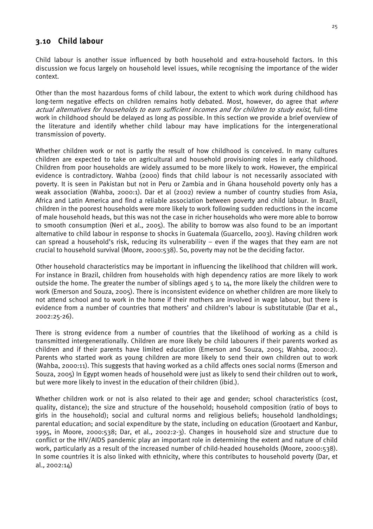# <span id="page-34-0"></span>3.10 Child labour

Child labour is another issue influenced by both household and extra-household factors. In this discussion we focus largely on household level issues, while recognising the importance of the wider context.

Other than the most hazardous forms of child labour, the extent to which work during childhood has long-term negative effects on children remains hotly debated. Most, however, do agree that where actual alternatives for households to earn sufficient incomes and for children to study exist, full-time work in childhood should be delayed as long as possible. In this section we provide a brief overview of the literature and identify whether child labour may have implications for the intergenerational transmission of poverty.

Whether children work or not is partly the result of how childhood is conceived. In many cultures children are expected to take on agricultural and household provisioning roles in early childhood. Children from poor households are widely assumed to be more likely to work. However, the empirical evidence is contradictory. Wahba (2000) finds that child labour is not necessarily associated with poverty. It is seen in Pakistan but not in Peru or Zambia and in Ghana household poverty only has a weak association (Wahba, 2000:1). Dar et al (2002) review a number of country studies from Asia, Africa and Latin America and find a reliable association between poverty and child labour. In Brazil, children in the poorest households were more likely to work following sudden reductions in the income of male household heads, but this was not the case in richer households who were more able to borrow to smooth consumption (Neri et al., 2005). The ability to borrow was also found to be an important alternative to child labour in response to shocks in Guatemala (Guarcello, 2003). Having children work can spread a household's risk, reducing its vulnerability – even if the wages that they earn are not crucial to household survival (Moore, 2000:538). So, poverty may not be the deciding factor.

Other household characteristics may be important in influencing the likelihood that children will work. For instance in Brazil, children from households with high dependency ratios are more likely to work outside the home. The greater the number of siblings aged 5 to 14, the more likely the children were to work (Emerson and Souza, 2005). There is inconsistent evidence on whether children are more likely to not attend school and to work in the home if their mothers are involved in wage labour, but there is evidence from a number of countries that mothers' and children's labour is substitutable (Dar et al., 2002:25-26).

There is strong evidence from a number of countries that the likelihood of working as a child is transmitted intergenerationally. Children are more likely be child labourers if their parents worked as children and if their parents have limited education (Emerson and Souza, 2005; Wahba, 2000:2). Parents who started work as young children are more likely to send their own children out to work (Wahba, 2000:11). This suggests that having worked as a child affects ones social norms (Emerson and Souza, 2005) In Egypt women heads of household were just as likely to send their children out to work, but were more likely to invest in the education of their children (ibid.).

Whether children work or not is also related to their age and gender; school characteristics (cost, quality, distance); the size and structure of the household; household composition (ratio of boys to girls in the household); social and cultural norms and religious beliefs; household landholdings; parental education; and social expenditure by the state, including on education (Grootaert and Kanbur, 1995, in Moore, 2000:538; Dar, et al., 2002:2-3). Changes in household size and structure due to conflict or the HIV/AIDS pandemic play an important role in determining the extent and nature of child work, particularly as a result of the increased number of child-headed households (Moore, 2000:538). In some countries it is also linked with ethnicity, where this contributes to household poverty (Dar, et al., 2002:14)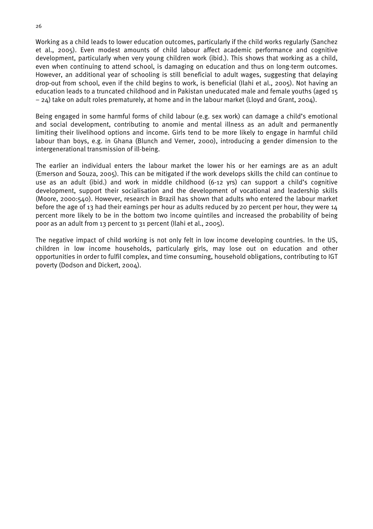Working as a child leads to lower education outcomes, particularly if the child works regularly (Sanchez et al., 2005). Even modest amounts of child labour affect academic performance and cognitive development, particularly when very young children work (ibid.). This shows that working as a child, even when continuing to attend school, is damaging on education and thus on long-term outcomes. However, an additional year of schooling is still beneficial to adult wages, suggesting that delaying drop-out from school, even if the child begins to work, is beneficial (Ilahi et al., 2005). Not having an education leads to a truncated childhood and in Pakistan uneducated male and female youths (aged 15 – 24) take on adult roles prematurely, at home and in the labour market (Lloyd and Grant, 2004).

Being engaged in some harmful forms of child labour (e.g. sex work) can damage a child's emotional and social development, contributing to anomie and mental illness as an adult and permanently limiting their livelihood options and income. Girls tend to be more likely to engage in harmful child labour than boys, e.g. in Ghana (Blunch and Verner, 2000), introducing a gender dimension to the intergenerational transmission of ill-being.

The earlier an individual enters the labour market the lower his or her earnings are as an adult (Emerson and Souza, 2005). This can be mitigated if the work develops skills the child can continue to use as an adult (ibid.) and work in middle childhood (6-12 yrs) can support a child's cognitive development, support their socialisation and the development of vocational and leadership skills (Moore, 2000:540). However, research in Brazil has shown that adults who entered the labour market before the age of 13 had their earnings per hour as adults reduced by 20 percent per hour, they were 14 percent more likely to be in the bottom two income quintiles and increased the probability of being poor as an adult from 13 percent to 31 percent (Ilahi et al., 2005).

The negative impact of child working is not only felt in low income developing countries. In the US, children in low income households, particularly girls, may lose out on education and other opportunities in order to fulfil complex, and time consuming, household obligations, contributing to IGT poverty (Dodson and Dickert, 2004).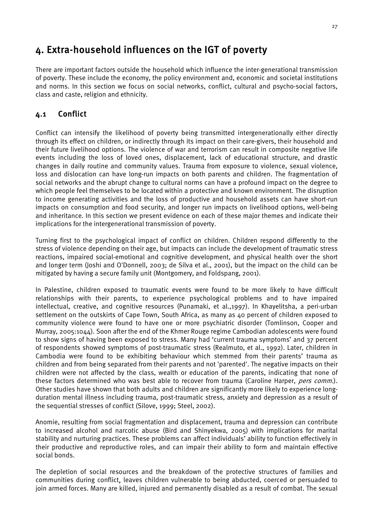# <span id="page-36-0"></span>4. Extra-household influences on the IGT of poverty

There are important factors outside the household which influence the inter-generational transmission of poverty. These include the economy, the policy environment and, economic and societal institutions and norms. In this section we focus on social networks, conflict, cultural and psycho-social factors, class and caste, religion and ethnicity.

# 4.1 Conflict

Conflict can intensify the likelihood of poverty being transmitted intergenerationally either directly through its effect on children, or indirectly through its impact on their care-givers, their household and their future livelihood options. The violence of war and terrorism can result in composite negative life events including the loss of loved ones, displacement, lack of educational structure, and drastic changes in daily routine and community values. Trauma from exposure to violence, sexual violence, loss and dislocation can have long-run impacts on both parents and children. The fragmentation of social networks and the abrupt change to cultural norms can have a profound impact on the degree to which people feel themselves to be located within a protective and known environment. The disruption to income generating activities and the loss of productive and household assets can have short-run impacts on consumption and food security, and longer run impacts on livelihood options, well-being and inheritance. In this section we present evidence on each of these major themes and indicate their implications for the intergenerational transmission of poverty.

Turning first to the psychological impact of conflict on children. Children respond differently to the stress of violence depending on their age, but impacts can include the development of traumatic stress reactions, impaired social-emotional and cognitive development, and physical health over the short and longer term (Joshi and O'Donnell, 2003; de Silva et al., 2001), but the impact on the child can be mitigated by having a secure family unit (Montgomery, and Foldspang, 2001).

In Palestine, children exposed to traumatic events were found to be more likely to have difficult relationships with their parents, to experience psychological problems and to have impaired intellectual, creative, and cognitive resources (Punamaki, et al.,1997). In Khayelitsha, a peri-urban settlement on the outskirts of Cape Town, South Africa, as many as 40 percent of children exposed to community violence were found to have one or more psychiatric disorder (Tomlinson, Cooper and Murray, 2005:1044). Soon after the end of the Khmer Rouge regime Cambodian adolescents were found to show signs of having been exposed to stress. Many had 'current trauma symptoms' and 37 percent of respondents showed symptoms of post-traumatic stress (Realmuto, et al., 1992). Later, children in Cambodia were found to be exhibiting behaviour which stemmed from their parents' trauma as children and from being separated from their parents and not 'parented'. The negative impacts on their children were not affected by the class, wealth or education of the parents, indicating that none of these factors determined who was best able to recover from trauma (Caroline Harper, *pers comm.*). Other studies have shown that both adults and children are significantly more likely to experience longduration mental illness including trauma, post-traumatic stress, anxiety and depression as a result of the sequential stresses of conflict (Silove, 1999; Steel, 2002).

Anomie, resulting from social fragmentation and displacement, trauma and depression can contribute to increased alcohol and narcotic abuse (Bird and Shinyekwa, 2005) with implications for marital stability and nurturing practices. These problems can affect individuals' ability to function effectively in their productive and reproductive roles, and can impair their ability to form and maintain effective social bonds.

The depletion of social resources and the breakdown of the protective structures of families and communities during conflict, leaves children vulnerable to being abducted, coerced or persuaded to join armed forces. Many are killed, injured and permanently disabled as a result of combat. The sexual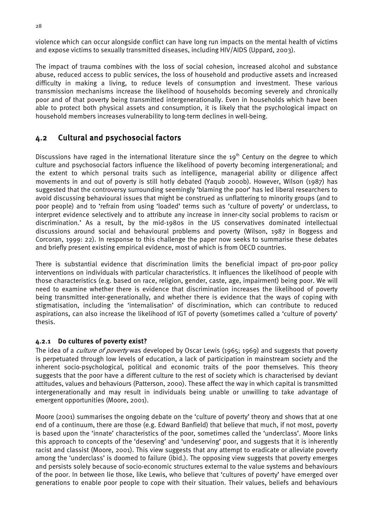<span id="page-37-0"></span>violence which can occur alongside conflict can have long run impacts on the mental health of victims and expose victims to sexually transmitted diseases, including HIV/AIDS (Uppard, 2003).

The impact of trauma combines with the loss of social cohesion, increased alcohol and substance abuse, reduced access to public services, the loss of household and productive assets and increased difficulty in making a living, to reduce levels of consumption and investment. These various transmission mechanisms increase the likelihood of households becoming severely and chronically poor and of that poverty being transmitted intergenerationally. Even in households which have been able to protect both physical assets and consumption, it is likely that the psychological impact on household members increases vulnerability to long-term declines in well-being.

# 4.2 Cultural and psychosocial factors

Discussions have raged in the international literature since the 19<sup>th</sup> Century on the degree to which culture and psychosocial factors influence the likelihood of poverty becoming intergenerational; and the extent to which personal traits such as intelligence, managerial ability or diligence affect movements in and out of poverty is still hotly debated (Yaqub 2000b). However, Wilson (1987) has suggested that the controversy surrounding seemingly 'blaming the poor' has led liberal researchers to avoid discussing behavioural issues that might be construed as unflattering to minority groups (and to poor people) and to 'refrain from using 'loaded' terms such as 'culture of poverty' or underclass, to interpret evidence selectively and to attribute any increase in inner-city social problems to racism or discrimination.' As a result, by the mid-1980s in the US conservatives dominated intellectual discussions around social and behavioural problems and poverty (Wilson, 1987 in Boggess and Corcoran, 1999: 22). In response to this challenge the paper now seeks to summarise these debates and briefly present existing empirical evidence, most of which is from OECD countries.

There is substantial evidence that discrimination limits the beneficial impact of pro-poor policy interventions on individuals with particular characteristics. It influences the likelihood of people with those characteristics (e.g. based on race, religion, gender, caste, age, impairment) being poor. We will need to examine whether there is evidence that discrimination increases the likelihood of poverty being transmitted inter-generationally, and whether there is evidence that the ways of coping with stigmatisation, including the 'internalisation' of discrimination, which can contribute to reduced aspirations, can also increase the likelihood of IGT of poverty (sometimes called a 'culture of poverty' thesis.

# 4.2.1 Do cultures of poverty exist?

The idea of a *culture of poverty* was developed by Oscar Lewis (1965; 1969) and suggests that poverty is perpetuated through low levels of education, a lack of participation in mainstream society and the inherent socio-psychological, political and economic traits of the poor themselves. This theory suggests that the poor have a different culture to the rest of society which is characterised by deviant attitudes, values and behaviours (Patterson, 2000). These affect the way in which capital is transmitted intergenerationally and may result in individuals being unable or unwilling to take advantage of emergent opportunities (Moore, 2001).

Moore (2001) summarises the ongoing debate on the 'culture of poverty' theory and shows that at one end of a continuum, there are those (e.g. Edward Banfield) that believe that much, if not most, poverty is based upon the 'innate' characteristics of the poor, sometimes called the 'underclass'. Moore links this approach to concepts of the 'deserving' and 'undeserving' poor, and suggests that it is inherently racist and classist (Moore, 2001). This view suggests that any attempt to eradicate or alleviate poverty among the 'underclass' is doomed to failure (ibid.). The opposing view suggests that poverty emerges and persists solely because of socio-economic structures external to the value systems and behaviours of the poor. In between lie those, like Lewis, who believe that 'cultures of poverty' have emerged over generations to enable poor people to cope with their situation. Their values, beliefs and behaviours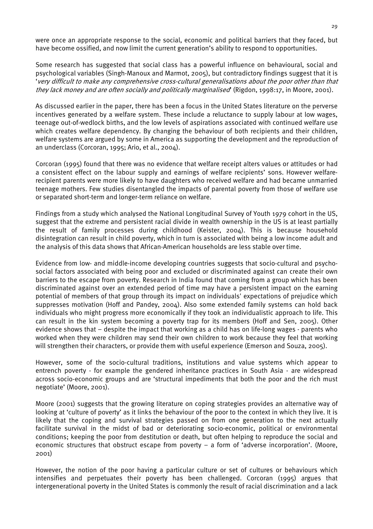were once an appropriate response to the social, economic and political barriers that they faced, but have become ossified, and now limit the current generation's ability to respond to opportunities.

Some research has suggested that social class has a powerful influence on behavioural, social and psychological variables (Singh-Manoux and Marmot, 2005), but contradictory findings suggest that it is 'very difficult to make any comprehensive cross-cultural generalisations about the poor other than that they lack money and are often socially and politically marginalised' (Rigdon, 1998:17, in Moore, 2001).

As discussed earlier in the paper, there has been a focus in the United States literature on the perverse incentives generated by a welfare system. These include a reluctance to supply labour at low wages, teenage out-of-wedlock births, and the low levels of aspirations associated with continued welfare use which creates welfare dependency. By changing the behaviour of both recipients and their children, welfare systems are argued by some in America as supporting the development and the reproduction of an underclass (Corcoran, 1995; Ario, et al., 2004).

Corcoran (1995) found that there was no evidence that welfare receipt alters values or attitudes or had a consistent effect on the labour supply and earnings of welfare recipients' sons. However welfarerecipient parents were more likely to have daughters who received welfare and had became unmarried teenage mothers. Few studies disentangled the impacts of parental poverty from those of welfare use or separated short-term and longer-term reliance on welfare.

Findings from a study which analysed the National Longitudinal Survey of Youth 1979 cohort in the US, suggest that the extreme and persistent racial divide in wealth ownership in the US is at least partially the result of family processes during childhood (Keister, 2004). This is because household disintegration can result in child poverty, which in turn is associated with being a low income adult and the analysis of this data shows that African-American households are less stable over time.

Evidence from low- and middle-income developing countries suggests that socio-cultural and psychosocial factors associated with being poor and excluded or discriminated against can create their own barriers to the escape from poverty. Research in India found that coming from a group which has been discriminated against over an extended period of time may have a persistent impact on the earning potential of members of that group through its impact on individuals' expectations of prejudice which suppresses motivation (Hoff and Pandey, 2004). Also some extended family systems can hold back individuals who might progress more economically if they took an individualistic approach to life. This can result in the kin system becoming a poverty trap for its members (Hoff and Sen, 2005). Other evidence shows that – despite the impact that working as a child has on life-long wages - parents who worked when they were children may send their own children to work because they feel that working will strengthen their characters, or provide them with useful experience (Emerson and Souza, 2005).

However, some of the socio-cultural traditions, institutions and value systems which appear to entrench poverty - for example the gendered inheritance practices in South Asia - are widespread across socio-economic groups and are 'structural impediments that both the poor and the rich must negotiate' (Moore, 2001).

Moore (2001) suggests that the growing literature on coping strategies provides an alternative way of looking at 'culture of poverty' as it links the behaviour of the poor to the context in which they live. It is likely that the coping and survival strategies passed on from one generation to the next actually facilitate survival in the midst of bad or deteriorating socio-economic, political or environmental conditions; keeping the poor from destitution or death, but often helping to reproduce the social and economic structures that obstruct escape from poverty – a form of 'adverse incorporation'. (Moore, 2001)

However, the notion of the poor having a particular culture or set of cultures or behaviours which intensifies and perpetuates their poverty has been challenged. Corcoran (1995) argues that intergenerational poverty in the United States is commonly the result of racial discrimination and a lack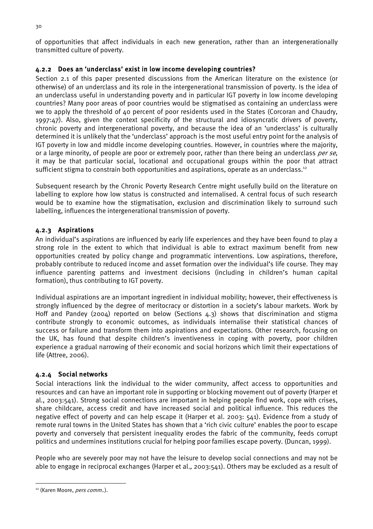of opportunities that affect individuals in each new generation, rather than an intergenerationally transmitted culture of poverty.

# 4.2.2 Does an 'underclass' exist in low income developing countries?

Section 2.1 of this paper presented discussions from the American literature on the existence (or otherwise) of an underclass and its role in the intergenerational transmission of poverty. Is the idea of an underclass useful in understanding poverty and in particular IGT poverty in low income developing countries? Many poor areas of poor countries would be stigmatised as containing an underclass were we to apply the threshold of 40 percent of poor residents used in the States (Corcoran and Chaudry, 1997:47). Also, given the context specificity of the structural and idiosyncratic drivers of poverty, chronic poverty and intergenerational poverty, and because the idea of an 'underclass' is culturally determined it is unlikely that the 'underclass' approach is the most useful entry point for the analysis of IGT poverty in low and middle income developing countries. However, in countries where the majority, or a large minority, of people are poor or extremely poor, rather than there being an underclass *per se*, it may be that particular social, locational and occupational groups within the poor that attract sufficient stigma to constrain both opportunities and aspirations, operate as an underclass.<sup>12</sup>

Subsequent research by the Chronic Poverty Research Centre might usefully build on the literature on labelling to explore how low status is constructed and internalised. A central focus of such research would be to examine how the stigmatisation, exclusion and discrimination likely to surround such labelling, influences the intergenerational transmission of poverty.

# 4.2.3 Aspirations

An individual's aspirations are influenced by early life experiences and they have been found to play a strong role in the extent to which that individual is able to extract maximum benefit from new opportunities created by policy change and programmatic interventions. Low aspirations, therefore, probably contribute to reduced income and asset formation over the individual's life course. They may influence parenting patterns and investment decisions (including in children's human capital formation), thus contributing to IGT poverty.

Individual aspirations are an important ingredient in individual mobility; however, their effectiveness is strongly influenced by the degree of meritocracy or distortion in a society's labour markets. Work by Hoff and Pandey (2004) reported on below (Sections 4.3) shows that discrimination and stigma contribute strongly to economic outcomes, as individuals internalise their statistical chances of success or failure and transform them into aspirations and expectations. Other research, focusing on the UK, has found that despite children's inventiveness in coping with poverty, poor children experience a gradual narrowing of their economic and social horizons which limit their expectations of life (Attree, 2006).

# 4.2.4 Social networks

Social interactions link the individual to the wider community, affect access to opportunities and resources and can have an important role in supporting or blocking movement out of poverty (Harper et al., 2003:541). Strong social connections are important in helping people find work, cope with crises, share childcare, access credit and have increased social and political influence. This reduces the negative effect of poverty and can help escape it (Harper et al. 2003: 541). Evidence from a study of remote rural towns in the United States has shown that a 'rich civic culture' enables the poor to escape poverty and conversely that persistent inequality erodes the fabric of the community, feeds corrupt politics and undermines institutions crucial for helping poor families escape poverty. (Duncan, 1999).

People who are severely poor may not have the leisure to develop social connections and may not be able to engage in reciprocal exchanges (Harper et al., 2003:541). Others may be excluded as a result of

 $\overline{a}$ 

<span id="page-39-0"></span><sup>&</sup>lt;sup>12</sup> (Karen Moore, *pers comm.*.).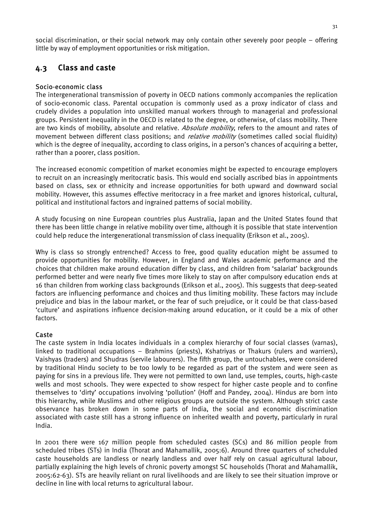<span id="page-40-0"></span>social discrimination, or their social network may only contain other severely poor people – offering little by way of employment opportunities or risk mitigation.

# 4.3 Class and caste

# Socio-economic class

The intergenerational transmission of poverty in OECD nations commonly accompanies the replication of socio-economic class. Parental occupation is commonly used as a proxy indicator of class and crudely divides a population into unskilled manual workers through to managerial and professional groups. Persistent inequality in the OECD is related to the degree, or otherwise, of class mobility. There are two kinds of mobility, absolute and relative. Absolute mobility, refers to the amount and rates of movement between different class positions; and *relative mobility* (sometimes called social fluidity) which is the degree of inequality, according to class origins, in a person's chances of acquiring a better, rather than a poorer, class position.

The increased economic competition of market economies might be expected to encourage employers to recruit on an increasingly meritocratic basis. This would end socially ascribed bias in appointments based on class, sex or ethnicity and increase opportunities for both upward and downward social mobility. However, this assumes effective meritocracy in a free market and ignores historical, cultural, political and institutional factors and ingrained patterns of social mobility.

A study focusing on nine European countries plus Australia, Japan and the United States found that there has been little change in relative mobility over time, although it is possible that state intervention could help reduce the intergenerational transmission of class inequality (Erikson et al., 2005).

Why is class so strongly entrenched? Access to free, good quality education might be assumed to provide opportunities for mobility. However, in England and Wales academic performance and the choices that children make around education differ by class, and children from 'salariat' backgrounds performed better and were nearly five times more likely to stay on after compulsory education ends at 16 than children from working class backgrounds (Erikson et al., 2005). This suggests that deep-seated factors are influencing performance and choices and thus limiting mobility. These factors may include prejudice and bias in the labour market, or the fear of such prejudice, or it could be that class-based 'culture' and aspirations influence decision-making around education, or it could be a mix of other factors.

# Caste

The caste system in India locates individuals in a complex hierarchy of four social classes (varnas), linked to traditional occupations – Brahmins (priests), Kshatriyas or Thakurs (rulers and warriers), Vaishyas (traders) and Shudras (servile labourers). The fifth group, the untouchables, were considered by traditional Hindu society to be too lowly to be regarded as part of the system and were seen as paying for sins in a previous life. They were not permitted to own land, use temples, courts, high-caste wells and most schools. They were expected to show respect for higher caste people and to confine themselves to 'dirty' occupations involving 'pollution' (Hoff and Pandey, 2004). Hindus are born into this hierarchy, while Muslims and other religious groups are outside the system. Although strict caste observance has broken down in some parts of India, the social and economic discrimination associated with caste still has a strong influence on inherited wealth and poverty, particularly in rural India.

In 2001 there were 167 million people from scheduled castes (SCs) and 86 million people from scheduled tribes (STs) in India (Thorat and Mahamallik, 2005:6). Around three quarters of scheduled caste households are landless or nearly landless and over half rely on casual agricultural labour, partially explaining the high levels of chronic poverty amongst SC households (Thorat and Mahamallik, 2005:62-63). STs are heavily reliant on rural livelihoods and are likely to see their situation improve or decline in line with local returns to agricultural labour.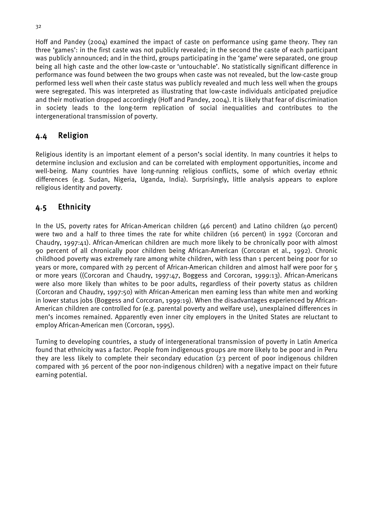<span id="page-41-0"></span>Hoff and Pandey (2004) examined the impact of caste on performance using game theory. They ran three 'games': in the first caste was not publicly revealed; in the second the caste of each participant was publicly announced; and in the third, groups participating in the 'game' were separated, one group being all high caste and the other low-caste or 'untouchable'. No statistically significant difference in performance was found between the two groups when caste was not revealed, but the low-caste group performed less well when their caste status was publicly revealed and much less well when the groups were segregated. This was interpreted as illustrating that low-caste individuals anticipated prejudice and their motivation dropped accordingly (Hoff and Pandey, 2004). It is likely that fear of discrimination in society leads to the long-term replication of social inequalities and contributes to the intergenerational transmission of poverty.

# 4.4 Religion

Religious identity is an important element of a person's social identity. In many countries it helps to determine inclusion and exclusion and can be correlated with employment opportunities, income and well-being. Many countries have long-running religious conflicts, some of which overlay ethnic differences (e.g. Sudan, Nigeria, Uganda, India). Surprisingly, little analysis appears to explore religious identity and poverty.

# 4.5 Ethnicity

In the US, poverty rates for African-American children (46 percent) and Latino children (40 percent) were two and a half to three times the rate for white children (16 percent) in 1992 (Corcoran and Chaudry, 1997:41). African-American children are much more likely to be chronically poor with almost 90 percent of all chronically poor children being African-American (Corcoran et al., 1992). Chronic childhood poverty was extremely rare among white children, with less than 1 percent being poor for 10 years or more, compared with 29 percent of African-American children and almost half were poor for 5 or more years ((Corcoran and Chaudry, 1997:47, Boggess and Corcoran, 1999:13). African-Americans were also more likely than whites to be poor adults, regardless of their poverty status as children (Corcoran and Chaudry, 1997:50) with African-American men earning less than white men and working in lower status jobs (Boggess and Corcoran, 1999:19). When the disadvantages experienced by African-American children are controlled for (e.g. parental poverty and welfare use), unexplained differences in men's incomes remained. Apparently even inner city employers in the United States are reluctant to employ African-American men (Corcoran, 1995).

Turning to developing countries, a study of intergenerational transmission of poverty in Latin America found that ethnicity was a factor. People from indigenous groups are more likely to be poor and in Peru they are less likely to complete their secondary education (23 percent of poor indigenous children compared with 36 percent of the poor non-indigenous children) with a negative impact on their future earning potential.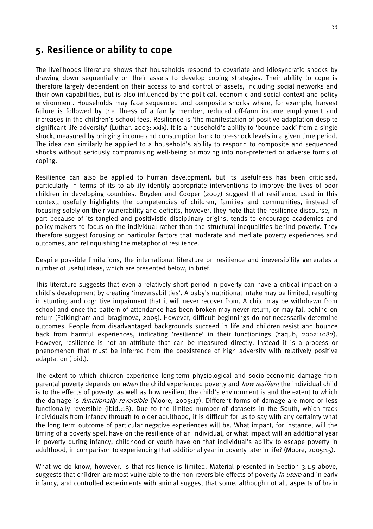# <span id="page-42-0"></span>5. Resilience or ability to cope

The livelihoods literature shows that households respond to covariate and idiosyncratic shocks by drawing down sequentially on their assets to develop coping strategies. Their ability to cope is therefore largely dependent on their access to and control of assets, including social networks and their own capabilities, but is also influenced by the political, economic and social context and policy environment. Households may face sequenced and composite shocks where, for example, harvest failure is followed by the illness of a family member, reduced off-farm income employment and increases in the children's school fees. Resilience is 'the manifestation of positive adaptation despite significant life adversity' (Luthar, 2003: xxix). It is a household's ability to 'bounce back' from a single shock, measured by bringing income and consumption back to pre-shock levels in a given time period. The idea can similarly be applied to a household's ability to respond to composite and sequenced shocks without seriously compromising well-being or moving into non-preferred or adverse forms of coping.

Resilience can also be applied to human development, but its usefulness has been criticised, particularly in terms of its to ability identify appropriate interventions to improve the lives of poor children in developing countries. Boyden and Cooper (2007) suggest that resilience, used in this context, usefully highlights the competencies of children, families and communities, instead of focusing solely on their vulnerability and deficits, however, they note that the resilience discourse, in part because of its tangled and positivistic disciplinary origins, tends to encourage academics and policy-makers to focus on the individual rather than the structural inequalities behind poverty. They therefore suggest focusing on particular factors that moderate and mediate poverty experiences and outcomes, and relinquishing the metaphor of resilience.

Despite possible limitations, the international literature on resilience and irreversibility generates a number of useful ideas, which are presented below, in brief.

This literature suggests that even a relatively short period in poverty can have a critical impact on a child's development by creating 'irreversabilities'. A baby's nutritional intake may be limited, resulting in stunting and cognitive impairment that it will never recover from. A child may be withdrawn from school and once the pattern of attendance has been broken may never return, or may fall behind on return (Falkingham and Ibragimova, 2005). However, difficult beginnings do not necessarily determine outcomes. People from disadvantaged backgrounds succeed in life and children resist and bounce back from harmful experiences, indicating 'resilience' in their functionings (Yaqub, 2002:1082). However, resilience is not an attribute that can be measured directly. Instead it is a process or phenomenon that must be inferred from the coexistence of high adversity with relatively positive adaptation (ibid.).

The extent to which children experience long-term physiological and socio-economic damage from parental poverty depends on *when* the child experienced poverty and *how resilient* the individual child is to the effects of poverty, as well as how resilient the child's environment is and the extent to which the damage is *functionally reversible* (Moore, 2005:17). Different forms of damage are more or less functionally reversible (ibid..18). Due to the limited number of datasets in the South, which track individuals from infancy through to older adulthood, it is difficult for us to say with any certainty what the long term outcome of particular negative experiences will be. What impact, for instance, will the timing of a poverty spell have on the resilience of an individual, or what impact will an additional year in poverty during infancy, childhood or youth have on that individual's ability to escape poverty in adulthood, in comparison to experiencing that additional year in poverty later in life? (Moore, 2005:15).

What we do know, however, is that resilience is limited. Material presented in Section 3.1.5 above, suggests that children are most vulnerable to the non-reversible effects of poverty in utero and in early infancy, and controlled experiments with animal suggest that some, although not all, aspects of brain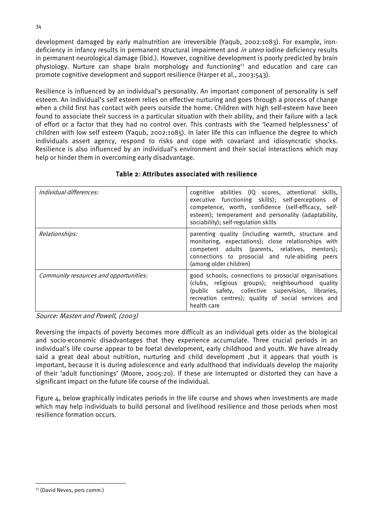deficiency in infancy results in permanent structural impairment and *in utero* iodine deficiency results development damaged by early malnutrition are irreversible (Yaqub, 2002:1083). For example, ironin permanent neurological damage (ibid.). However, cognitive development is poorly predicted by brain physiology. Nurture can shape brain morphology and functioning<sup>13</sup> and education and care can promote cognitive development and support resilience (Harper et al., 2003:543).

Resilience is influenced by an individual's personality. An important component of personality is self esteem. An individual's self esteem relies on effective nurturing and goes through a process of change when a child first has contact with peers outside the home. Children with high self-esteem have been found to associate their success in a particular situation with their ability, and their failure with a lack of effort or a factor that they had no control over. This contrasts with the 'learned helplessness' of children with low self esteem (Yaqub, 2002:1085). In later life this can influence the degree to which individuals assert agency, respond to risks and cope with covariant and idiosyncratic shocks. Resilience is also influenced by an individual's environment and their social interactions which may help or hinder them in overcoming early disadvantage.

| Individual differences:                | cognitive abilities (IQ scores, attentional skills,<br>executive functioning skills); self-perceptions of<br>competence, worth, confidence (self-efficacy, self-<br>esteem); temperament and personality (adaptability,<br>sociability); self-regulation skills |
|----------------------------------------|-----------------------------------------------------------------------------------------------------------------------------------------------------------------------------------------------------------------------------------------------------------------|
| <i>Relationships:</i>                  | parenting quality (including warmth, structure and<br>monitoring, expectations); close relationships with<br>competent adults (parents, relatives, mentors);<br>connections to prosocial and rule-abiding peers<br>(among older children)                       |
| Community resources and opportunities: | good schools; connections to prosocial organisations<br>(clubs, religious groups); neighbourhood quality<br>(public safety, collective supervision, libraries,<br>recreation centres); quality of social services and<br>health care                            |

# Table 2: Attributes associated with resilience

Source: Masten and Powell, (2003)

Reversing the impacts of poverty becomes more difficult as an individual gets older as the biological and socio-economic disadvantages that they experience accumulate. Three crucial periods in an individual's life course appear to be foetal development, early childhood and youth. We have already said a great deal about nutrition, nurturing and child development ,but it appears that youth is important, because it is during adolescence and early adulthood that individuals develop the majority of their 'adult functionings' (Moore, 2005:20). If these are interrupted or distorted they can have a significant impact on the future life course of the individual.

Figure 4, below graphically indicates periods in the life course and shows when investments are made which may help individuals to build personal and livelihood resilience and those periods when most resilience formation occurs.

<span id="page-43-0"></span><sup>&</sup>lt;sup>13</sup> (David Neves, pers comm.)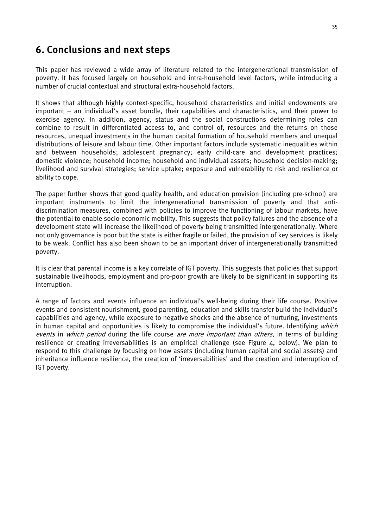# <span id="page-44-0"></span>6. Conclusions and next steps

This paper has reviewed a wide array of literature related to the intergenerational transmission of poverty. It has focused largely on household and intra-household level factors, while introducing a number of crucial contextual and structural extra-household factors.

It shows that although highly context-specific, household characteristics and initial endowments are important – an individual's asset bundle, their capabilities and characteristics, and their power to exercise agency. In addition, agency, status and the social constructions determining roles can combine to result in differentiated access to, and control of, resources and the returns on those resources, unequal investments in the human capital formation of household members and unequal distributions of leisure and labour time. Other important factors include systematic inequalities within and between households; adolescent pregnancy; early child-care and development practices; domestic violence; household income; household and individual assets; household decision-making; livelihood and survival strategies; service uptake; exposure and vulnerability to risk and resilience or ability to cope.

The paper further shows that good quality health, and education provision (including pre-school) are important instruments to limit the intergenerational transmission of poverty and that antidiscrimination measures, combined with policies to improve the functioning of labour markets, have the potential to enable socio-economic mobility. This suggests that policy failures and the absence of a development state will increase the likelihood of poverty being transmitted intergenerationally. Where not only governance is poor but the state is either fragile or failed, the provision of key services is likely to be weak. Conflict has also been shown to be an important driver of intergenerationally transmitted poverty.

It is clear that parental income is a key correlate of IGT poverty. This suggests that policies that support sustainable livelihoods, employment and pro-poor growth are likely to be significant in supporting its interruption.

events in which period during the life course are more important than others, in terms of building A range of factors and events influence an individual's well-being during their life course. Positive events and consistent nourishment, good parenting, education and skills transfer build the individual's capabilities and agency, while exposure to negative shocks and the absence of nurturing, investments in human capital and opportunities is likely to compromise the individual's future. Identifying which resilience or creating irreversabilities is an empirical challenge (see Figure 4, below). We plan to respond to this challenge by focusing on how assets (including human capital and social assets) and inheritance influence resilience, the creation of 'irreversabilities' and the creation and interruption of IGT poverty.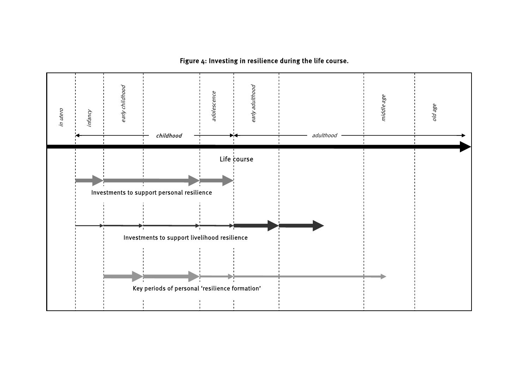# Figure 4: Investing in resilience during the life course.

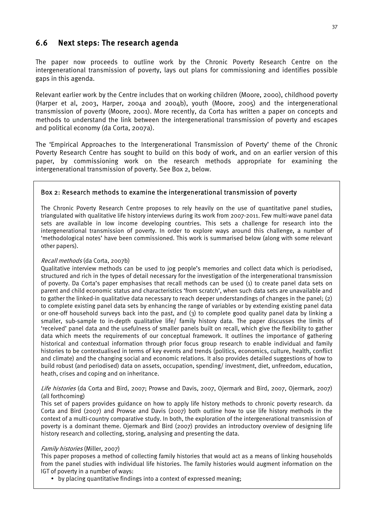# <span id="page-46-0"></span>6.6 Next steps: The research agenda

The paper now proceeds to outline work by the Chronic Poverty Research Centre on the intergenerational transmission of poverty, lays out plans for commissioning and identifies possible gaps in this agenda.

Relevant earlier work by the Centre includes that on working children (Moore, 2000), childhood poverty (Harper et al, 2003, Harper, 2004a and 2004b), youth (Moore, 2005) and the intergenerational transmission of poverty (Moore, 2001). More recently, da Corta has written a paper on concepts and methods to understand the link between the intergenerational transmission of poverty and escapes and political economy (da Corta, 2007a).

The 'Empirical Approaches to the Intergenerational Transmission of Poverty' theme of the Chronic Poverty Research Centre has sought to build on this body of work, and on an earlier version of this paper, by commissioning work on the research methods appropriate for examining the intergenerational transmission of poverty. See Box 2, below.

# Box 2: Research methods to examine the intergenerational transmission of poverty

The Chronic Poverty Research Centre proposes to rely heavily on the use of quantitative panel studies, triangulated with qualitative life history interviews during its work from 2007-2011. Few multi-wave panel data sets are available in low income developing countries. This sets a challenge for research into the intergenerational transmission of poverty. In order to explore ways around this challenge, a number of 'methodological notes' have been commissioned. This work is summarised below (along with some relevant other papers).

#### Recall methods (da Corta, 2007b)

Qualitative interview methods can be used to jog people's memories and collect data which is periodised, structured and rich in the types of detail necessary for the investigation of the intergenerational transmission of poverty. Da Corta's paper emphasises that recall methods can be used (1) to create panel data sets on parent and child economic status and characteristics 'from scratch', when such data sets are unavailable and to gather the linked-in qualitative data necessary to reach deeper understandings of changes in the panel; (2) to complete existing panel data sets by enhancing the range of variables or by extending existing panel data or one-off household surveys back into the past, and (3) to complete good quality panel data by linking a smaller, sub-sample to in-depth qualitative life/ family history data. The paper discusses the limits of 'received' panel data and the usefulness of smaller panels built on recall, which give the flexibility to gather data which meets the requirements of our conceptual framework. It outlines the importance of gathering historical and contextual information through prior focus group research to enable individual and family histories to be contextualised in terms of key events and trends (politics, economics, culture, health, conflict and climate) and the changing social and economic relations. It also provides detailed suggestions of how to build robust (and periodised) data on assets, occupation, spending/ investment, diet, unfreedom, education, heath, crises and coping and on inheritance.

#### Life histories (da Corta and Bird, 2007; Prowse and Davis, 2007, Ojermark and Bird, 2007, Ojermark, 2007) (all forthcoming)

This set of papers provides guidance on how to apply life history methods to chronic poverty research. da Corta and Bird (2007) and Prowse and Davis (2007) both outline how to use life history methods in the context of a multi-country comparative study. In both, the exploration of the intergenerational transmission of poverty is a dominant theme. Ojermark and Bird (2007) provides an introductory overview of designing life history research and collecting, storing, analysing and presenting the data.

#### Family histories (Miller, 2007)

This paper proposes a method of collecting family histories that would act as a means of linking households from the panel studies with individual life histories. The family histories would augment information on the IGT of poverty in a number of ways:

• by placing quantitative findings into a context of expressed meaning;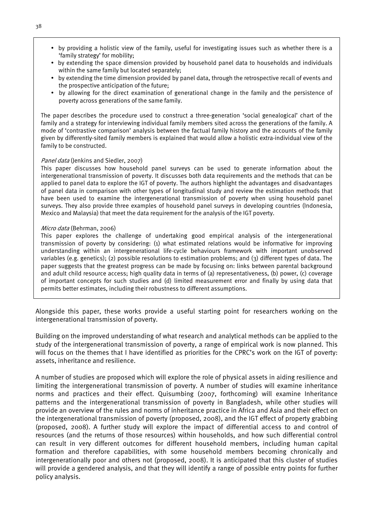- by providing a holistic view of the family, useful for investigating issues such as whether there is a 'family strategy' for mobility;
- by extending the space dimension provided by household panel data to households and individuals within the same family but located separately;
- by extending the time dimension provided by panel data, through the retrospective recall of events and the prospective anticipation of the future;
- by allowing for the direct examination of generational change in the family and the persistence of poverty across generations of the same family.

The paper describes the procedure used to construct a three-generation 'social genealogical' chart of the family and a strategy for interviewing individual family members sited across the generations of the family. A mode of 'contrastive comparison' analysis between the factual family history and the accounts of the family given by differently-sited family members is explained that would allow a holistic extra-individual view of the family to be constructed.

#### Panel data (Jenkins and Siedler, 2007)

This paper discusses how household panel surveys can be used to generate information about the intergenerational transmission of poverty. It discusses both data requirements and the methods that can be applied to panel data to explore the IGT of poverty. The authors highlight the advantages and disadvantages of panel data in comparison with other types of longitudinal study and review the estimation methods that have been used to examine the intergenerational transmission of poverty when using household panel surveys. They also provide three examples of household panel surveys in developing countries (Indonesia, Mexico and Malaysia) that meet the data requirement for the analysis of the IGT poverty.

#### Micro data (Behrman, 2006)

This paper explores the challenge of undertaking good empirical analysis of the intergenerational transmission of poverty by considering: (1) what estimated relations would be informative for improving understanding within an intergenerational life-cycle behaviours framework with important unobserved variables (e.g. genetics); (2) possible resolutions to estimation problems; and (3) different types of data. The paper suggests that the greatest progress can be made by focusing on: links between parental background and adult child resource access; high quality data in terms of (a) representativeness, (b) power, (c) coverage of important concepts for such studies and (d) limited measurement error and finally by using data that permits better estimates, including their robustness to different assumptions.

Alongside this paper, these works provide a useful starting point for researchers working on the intergenerational transmission of poverty.

Building on the improved understanding of what research and analytical methods can be applied to the study of the intergenerational transmission of poverty, a range of empirical work is now planned. This will focus on the themes that I have identified as priorities for the CPRC's work on the IGT of poverty: assets, inheritance and resilience.

A number of studies are proposed which will explore the role of physical assets in aiding resilience and limiting the intergenerational transmission of poverty. A number of studies will examine inheritance norms and practices and their effect. Quisumbing (2007, forthcoming) will examine Inheritance patterns and the intergenerational transmission of poverty in Bangladesh, while other studies will provide an overview of the rules and norms of inheritance practice in Africa and Asia and their effect on the intergenerational transmission of poverty (proposed, 2008), and the IGT effect of property grabbing (proposed, 2008). A further study will explore the impact of differential access to and control of resources (and the returns of those resources) within households, and how such differential control can result in very different outcomes for different household members, including human capital formation and therefore capabilities, with some household members becoming chronically and intergenerationally poor and others not (proposed, 2008). It is anticipated that this cluster of studies will provide a gendered analysis, and that they will identify a range of possible entry points for further policy analysis.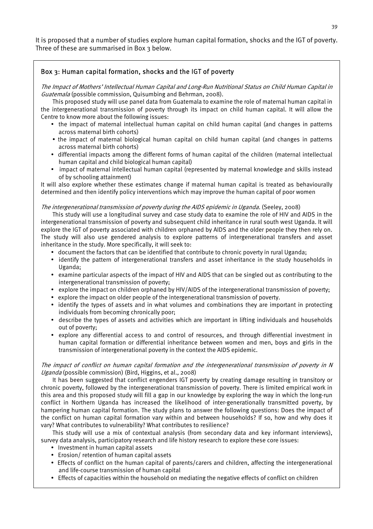It is proposed that a number of studies explore human capital formation, shocks and the IGT of poverty. Three of these are summarised in Box 3 below.

# Box 3: Human capital formation, shocks and the IGT of poverty

The Impact of Mothers' Intellectual Human Capital and Long-Run Nutritional Status on Child Human Capital in Guatemala (possible commission, Quisumbing and Behrman, 2008).

This proposed study will use panel data from Guatemala to examine the role of maternal human capital in the intergenerational transmission of poverty through its impact on child human capital. It will allow the Centre to know more about the following issues:

- the impact of maternal intellectual human capital on child human capital (and changes in patterns across maternal birth cohorts)
- the impact of maternal biological human capital on child human capital (and changes in patterns across maternal birth cohorts)
- differential impacts among the different forms of human capital of the children (maternal intellectual human capital and child biological human capital)
- impact of maternal intellectual human capital (represented by maternal knowledge and skills instead of by schooling attainment)

It will also explore whether these estimates change if maternal human capital is treated as behaviourally determined and then identify policy interventions which may improve the human capital of poor women

#### The intergenerational transmission of poverty during the AIDS epidemic in Uganda. (Seeley, 2008)

This study will use a longitudinal survey and case study data to examine the role of HIV and AIDS in the intergenerational transmission of poverty and subsequent child inheritance in rural south west Uganda. It will explore the IGT of poverty associated with children orphaned by AIDS and the older people they then rely on. The study will also use gendered analysis to explore patterns of intergenerational transfers and asset inheritance in the study. More specifically, it will seek to:

- y document the factors that can be identified that contribute to chronic poverty in rural Uganda;
- identify the pattern of intergenerational transfers and asset inheritance in the study households in Uganda;
- y examine particular aspects of the impact of HIV and AIDS that can be singled out as contributing to the intergenerational transmission of poverty;
- explore the impact on children orphaned by HIV/AIDS of the intergenerational transmission of poverty;
- explore the impact on older people of the intergenerational transmission of poverty.
- identify the types of assets and in what volumes and combinations they are important in protecting individuals from becoming chronically poor;
- describe the types of assets and activities which are important in lifting individuals and households out of poverty;
- explore any differential access to and control of resources, and through differential investment in human capital formation or differential inheritance between women and men, boys and girls in the transmission of intergenerational poverty in the context the AIDS epidemic.

#### The impact of conflict on human capital formation and the intergenerational transmission of poverty in N Uganda (possible commission) (Bird, Higgins, et al., 2008)

It has been suggested that conflict engenders IGT poverty by creating damage resulting in transitory or chronic poverty, followed by the intergenerational transmission of poverty. There is limited empirical work in this area and this proposed study will fill a gap in our knowledge by exploring the way in which the long-run conflict in Northern Uganda has increased the likelihood of inter-generationally transmitted poverty, by hampering human capital formation. The study plans to answer the following questions: Does the impact of the conflict on human capital formation vary within and between households? If so, how and why does it vary? What contributes to vulnerability? What contributes to resilience?

This study will use a mix of contextual analysis (from secondary data and key informant interviews), survey data analysis, participatory research and life history research to explore these core issues:

- Investment in human capital assets
- Erosion/ retention of human capital assets
- Effects of conflict on the human capital of parents/carers and children, affecting the intergenerational and life-course transmission of human capital
- Effects of capacities within the household on mediating the negative effects of conflict on children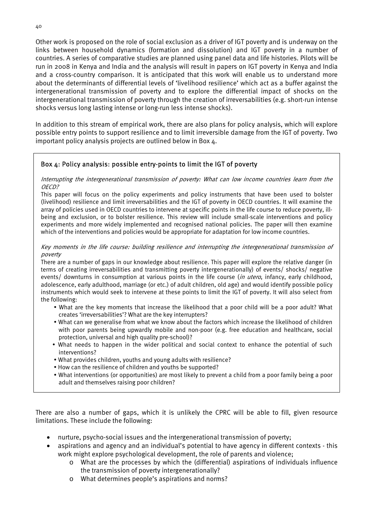Other work is proposed on the role of social exclusion as a driver of IGT poverty and is underway on the links between household dynamics (formation and dissolution) and IGT poverty in a number of countries. A series of comparative studies are planned using panel data and life histories. Pilots will be run in 2008 in Kenya and India and the analysis will result in papers on IGT poverty in Kenya and India and a cross-country comparison. It is anticipated that this work will enable us to understand more about the determinants of differential levels of 'livelihood resilience' which act as a buffer against the intergenerational transmission of poverty and to explore the differential impact of shocks on the intergenerational transmission of poverty through the creation of irreversabilities (e.g. short-run intense shocks versus long lasting intense or long-run less intense shocks).

In addition to this stream of empirical work, there are also plans for policy analysis, which will explore possible entry points to support resilience and to limit irreversible damage from the IGT of poverty. Two important policy analysis projects are outlined below in Box 4.

# Box 4: Policy analysis: possible entry-points to limit the IGT of poverty

Interrupting the intergenerational transmission of poverty: What can low income countries learn from the OECD?

This paper will focus on the policy experiments and policy instruments that have been used to bolster (livelihood) resilience and limit irreversabilities and the IGT of poverty in OECD countries. It will examine the array of policies used in OECD countries to intervene at specific points in the life course to reduce poverty, illbeing and exclusion, or to bolster resilience. This review will include small-scale interventions and policy experiments and more widely implemented and recognised national policies. The paper will then examine which of the interventions and policies would be appropriate for adaptation for low income countries.

#### Key moments in the life course: building resilience and interrupting the intergenerational transmission of poverty

There are a number of gaps in our knowledge about resilience. This paper will explore the relative danger (in terms of creating irreversabilities and transmitting poverty intergenerationally) of events/ shocks/ negative events/ downturns in consumption at various points in the life course (in utero, infancy, early childhood, adolescence, early adulthood, marriage (or etc.) of adult children, old age) and would identify possible policy instruments which would seek to intervene at these points to limit the IGT of poverty. It will also select from the following:

- What are the key moments that increase the likelihood that a poor child will be a poor adult? What creates 'irreversabilities'? What are the key interrupters?
- What can we generalise from what we know about the factors which increase the likelihood of children with poor parents being upwardly mobile and non-poor (e.g. free education and healthcare, social protection, universal and high quality pre-school)?
- What needs to happen in the wider political and social context to enhance the potential of such interventions?
- What provides children, youths and young adults with resilience?
- How can the resilience of children and youths be supported?
- y What interventions (or opportunities) are most likely to prevent a child from a poor family being a poor adult and themselves raising poor children?

There are also a number of gaps, which it is unlikely the CPRC will be able to fill, given resource limitations. These include the following:

- nurture, psycho-social issues and the intergenerational transmission of poverty;
- aspirations and agency and an individual's potential to have agency in different contexts this work might explore psychological development, the role of parents and violence;
	- o What are the processes by which the (differential) aspirations of individuals influence the transmission of poverty intergenerationally?
	- o What determines people's aspirations and norms?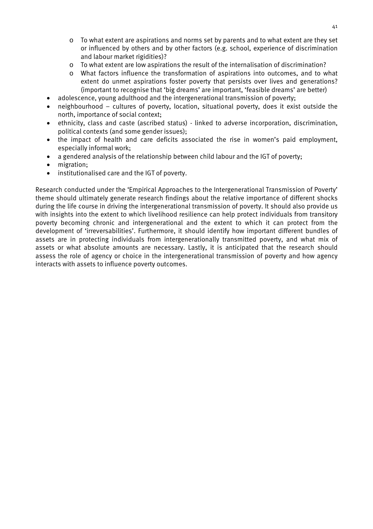- $\circ$  To what extent are aspirations and norms set by parents and to what extent are they set or influenced by others and by other factors (e.g. school, experience of discrimination and labour market rigidities)?
- o To what extent are low aspirations the result of the internalisation of discrimination?
- o What factors influence the transformation of aspirations into outcomes, and to what extent do unmet aspirations foster poverty that persists over lives and generations? (important to recognise that 'big dreams' are important, 'feasible dreams' are better)
- adolescence, young adulthood and the intergenerational transmission of poverty;
- neighbourhood cultures of poverty, location, situational poverty, does it exist outside the north, importance of social context;
- ethnicity, class and caste (ascribed status) linked to adverse incorporation, discrimination, political contexts (and some gender issues);
- the impact of health and care deficits associated the rise in women's paid employment, especially informal work;
- a gendered analysis of the relationship between child labour and the IGT of poverty;
- migration;
- institutionalised care and the IGT of poverty.

Research conducted under the 'Empirical Approaches to the Intergenerational Transmission of Poverty' theme should ultimately generate research findings about the relative importance of different shocks during the life course in driving the intergenerational transmission of poverty. It should also provide us with insights into the extent to which livelihood resilience can help protect individuals from transitory poverty becoming chronic and intergenerational and the extent to which it can protect from the development of 'irreversabilities'. Furthermore, it should identify how important different bundles of assets are in protecting individuals from intergenerationally transmitted poverty, and what mix of assets or what absolute amounts are necessary. Lastly, it is anticipated that the research should assess the role of agency or choice in the intergenerational transmission of poverty and how agency interacts with assets to influence poverty outcomes.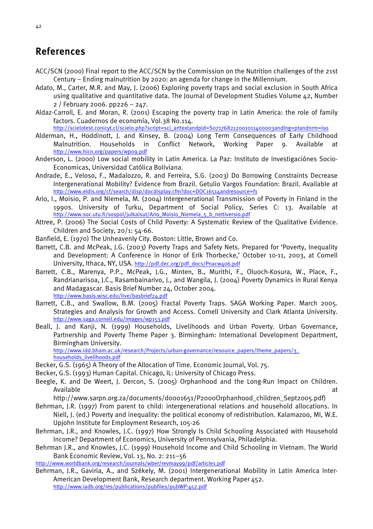# <span id="page-51-0"></span>References

- ACC/SCN (2000) Final report to the ACC/SCN by the Commission on the Nutrition challenges of the 21st Century – Ending malnutrition by 2020: an agenda for change in the Millennium.
- Adato, M., Carter, M.R. and May, J. (2006) Exploring poverty traps and social exclusion in South Africa using qualitative and quantitative data. The Journal of Development Studies Volume 42, Number 2 / February 2006. pp226 – 247.
- Aldaz-Carroll, E. and Moran, R. (2001) Escaping the poverty trap in Latin America: the role of family factors. Cuadernos de economía, Vol.38 No.114.

[http://scielotest.conicyt.cl/scielo.php?script=sci\\_arttextandpid=S071768212001011400003andlng=ptandnrm=iso](http://scielotest.conicyt.cl/scielo.php?script=sci_arttext&pid=S071768212001011400003&lng=pt&nrm=iso)

- Alderman, H., Hoddinott, J. and Kinsey, B. (2004) Long Term Consequences of Early Childhood Malnutrition. Households in Conflict Network, Working Paper 9. Available at [http://www.hicn.org/papers/wp09.pdf](http://econpapers.repec.org/scripts/redir.pl?u=http%3A%2F%2Fwww.hicn.org%2Fpapers%2Fwp09.pdf;h=repec:hic:wpaper:09)
- Anderson, L. (2000) Low social mobility in Latin America. La Paz: Instituto de Investigaciónes Socio-Economicas, Universidad Católica Boliviana.
- Andrade, E., Veloso, F., Madalozzo, R. and Ferreira, S.G. (2003) Do Borrowing Constraints Decrease Intergenerational Mobility? Evidence from Brazil. Getulio Vargos Foundation: Brazil. Available at [http://www.eldis.org/cf/search/disp/docdisplay.cfm?doc=DOC16514andresource=f1](http://www.eldis.org/cf/search/disp/docdisplay.cfm?doc=DOC16514&resource=f1)
- Ario, I., Moisio, P. and Niemela, M. (2004) Intergenerational Transmission of Poverty in Finland in the 1990s. University of Turku, Department of Social Policy, Series C: 13. Available at [http://www.soc.utu.fi/sospol/julkaisut/Ario\\_Moisio\\_Niemela\\_5\\_b\\_nettiversio.pdf](http://www.soc.utu.fi/sospol/julkaisut/Ario_Moisio_Niemela_5_b_nettiversio.pdf)
- Attree, P. (2006) The Social Costs of Child Poverty: A Systematic Review of the Qualitative Evidence. Children and Society, 20/1: 54-66.
- Banfield, E. (1970) The Unheavenly City. Boston: Little, Brown and Co.
- Barrett, C.B. and McPeak, J.G. (2003) Poverty Traps and Safety Nets. Prepared for 'Poverty, Inequality and Development: A Conference in Honor of Erik Thorbecke,' October 10-11, 2003, at Cornell University, Ithaca, NY, USA. [http://pdf.dec.org/pdf\\_docs/Pnacw406.pdf](http://pdf.dec.org/pdf_docs/Pnacw406.pdf)
- Barrett, C.B., Marenya, P.P., McPeak, J.G., Minten, B., Murithi, F., Oluoch-Kosura, W., Place, F., Randrianarisoa, J.C., Rasambainarivo, J., and Wangila, J. (2004) Poverty Dynamics in Rural Kenya and Madagascar. Basis Brief Number 24, October 2004. <http://www.basis.wisc.edu/live/basbrief24.pdf>
- Barrett, C.B., and Swallow, B.M. (2005) Fractal Poverty Traps. SAGA Working Paper. March 2005. Strategies and Analysis for Growth and Access. Cornell University and Clark Atlanta University. <http://www.saga.cornell.edu/images/wp153.pdf>
- Beall, J. and Kanji, N. (1999) Households, Livelihoods and Urban Poverty. Urban Governance, Partnership and Poverty Theme Paper 3. Birmingham: International Development Department, Birmingham University. [http://www.idd.bham.ac.uk/research/Projects/urban-governance/resource\\_papers/theme\\_papers/3\\_](http://www.idd.bham.ac.uk/research/Projects/urban-governance/resource_papers/theme_papers/3_households_livelihoods.pdf)

[households\\_livelihoods.pdf](http://www.idd.bham.ac.uk/research/Projects/urban-governance/resource_papers/theme_papers/3_households_livelihoods.pdf)

- Becker, G.S. (1965) A Theory of the Allocation of Time. Economic Journal, Vol. 75.
- Becker, G.S. (1993) Human Capital. Chicago, IL: University of Chicago Press.
- Beegle, K. and De Weert, J. Dercon, S. (2005) Orphanhood and the Long-Run Impact on Children. Available at the contract of the contract of the contract of the contract of the contract of the contract of the contract of the contract of the contract of the contract of the contract of the contract of the contract of t

http://www.sarpn.org.za/documents/d0001651/P2000Orphanhood\_children\_Sept2005.pdf)

- Behrman, J.R. (1997) From parent to child: intergenerational relations and household allocations. In Niell, J. (ed.) Poverty and inequality: the political economy of redistribution. Kalamazoo, MI, W.E. Upjohn Institute for Employment Research, 105-26
- Behrman, J.R., and Knowles, J.C. (1997) How Strongly Is Child Schooling Associated with Household Income? Department of Economics, University of Pennsylvania, Philadelphia.
- Behrman J.R., and Knowles, J.C. (1999) Household Income and Child Schooling in Vietnam. The World Bank Economic Review, Vol. 13, No. 2: 211–56
- <http://www.worldbank.org/research/journals/wber/revmay99/pdf/article1.pdf>
- Behrman, J.R., Gaviria, A., and Székely, M. (2001) Intergenerational Mobility in Latin America Inter-American Development Bank, Research department. Working Paper 452. <http://www.iadb.org/res/publications/pubfiles/pubWP-452.pdf>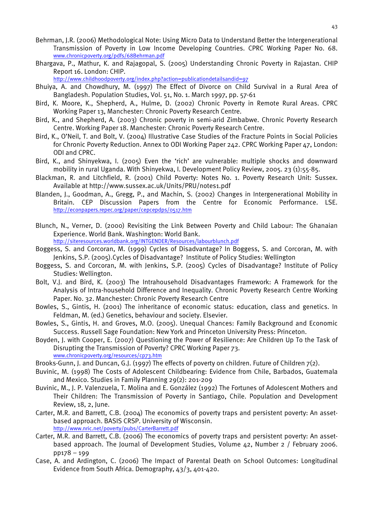- Behrman, J.R. (2006) Methodological Note: Using Micro Data to Understand Better the Intergenerational Transmission of Poverty in Low Income Developing Countries. CPRC Working Paper No. 68. [www.chronicpoverty.org/pdfs/68Behrman.pdf](http://www.chronicpoverty.org/pdfs/68Behrman.pdf)
- Bhargava, P., Mathur, K. and Rajagopal, S. (2005) Understanding Chronic Poverty in Rajastan. CHIP Report 16. London: CHIP.

[http://www.childhoodpoverty.org/index.php?action=publicationdetailsandid=97](http://www.childhoodpoverty.org/index.php?action=publicationdetails&id=97)

- Bhuiya, A. and Chowdhury, M. (1997) The Effect of Divorce on Child Survival in a Rural Area of Bangladesh. Population Studies, Vol. 51, No. 1. March 1997, pp. 57-61
- Bird, K. Moore, K., Shepherd, A., Hulme, D. (2002) Chronic Poverty in Remote Rural Areas. CPRC Working Paper 13, Manchester: Chronic Poverty Research Centre.
- Bird, K., and Shepherd, A. (2003) Chronic poverty in semi-arid Zimbabwe. Chronic Poverty Research Centre. Working Paper 18. Manchester: Chronic Poverty Research Centre.
- Bird, K., O'Neil, T. and Bolt, V. (2004) Illustrative Case Studies of the Fracture Points in Social Policies for Chronic Poverty Reduction. Annex to ODI Working Paper 242. CPRC Working Paper 47, London: ODI and CPRC.
- Bird, K., and Shinyekwa, I. (2005) Even the 'rich' are vulnerable: multiple shocks and downward mobility in rural Uganda. With Shinyekwa, I. Development Policy Review, 2005. 23 (1):55-85.
- Blackman, R. and Litchfield, R. (2001) Child Poverty: Notes No. 1. Poverty Research Unit: Sussex. Available at http://www.sussex.ac.uk/Units/PRU/notes1.pdf
- Blanden, J., Goodman, A., Gregg, P., and Machin, S. (2002) Changes in Intergenerational Mobility in Britain. CEP Discussion Papers from the Centre for Economic Performance. LSE. <http://econpapers.repec.org/paper/cepcepdps/0517.htm>
- Blunch, N., Verner, D. (2000) Revisiting the Link Between Poverty and Child Labour: The Ghanaian Experience. World Bank. Washington: World Bank.

[http://siteresources.worldbank.org/INTGENDER/Resources/labourblunch.pdf](http://siteresources.worldbank.org/INTGENDER/Resources/laborblunch.pdf) 

- Boggess, S. and Corcoran, M. (1999) Cycles of Disadvantage? In Boggess, S. and Corcoran, M. with Jenkins, S.P. (2005).Cycles of Disadvantage? Institute of Policy Studies: Wellington
- Boggess, S. and Corcoran, M. with Jenkins, S.P. (2005) Cycles of Disadvantage? Institute of Policy Studies: Wellington.
- Bolt, V.J. and Bird, K. (2003) The Intrahousehold Disadvantages Framework: A Framework for the Analysis of Intra-household Difference and Inequality. Chronic Poverty Research Centre Working Paper. No. 32. Manchester: Chronic Poverty Research Centre
- Bowles, S., Gintis, H. (2001) The inheritance of economic status: education, class and genetics. In Feldman, M. (ed.) Genetics, behaviour and society. Elsevier.
- Bowles, S., Gintis, H. and Groves, M.O. (2005). Unequal Chances: Family Background and Economic Success. Russell Sage Foundation: New York and Princeton University Press: Princeton.
- Boyden, J. with Cooper, E. (2007) Questioning the Power of Resilience: Are Children Up To the Task of Disrupting the Transmission of Poverty? CPRC Working Paper 73. [www.chronicpoverty.org/resources/cp73.htm](http://www.chronicpoverty.org/resources/cp73.htm)
- Brooks-Gunn, J. and Duncan, G.J. (1997) The effects of poverty on children. Future of Children 7(2).
- Buvinic, M. (1998) The Costs of Adolescent Childbearing: Evidence from Chile, Barbados, Guatemala and Mexico. Studies in Family Planning 29(2): 201-209
- Buvinic, M., J. P. Valenzuela, T. Molina and E. González (1992) The Fortunes of Adolescent Mothers and Their Children: The Transmission of Poverty in Santiago, Chile. Population and Development Review, 18, 2, June.
- Carter, M.R. and Barrett, C.B. (2004) The economics of poverty traps and persistent poverty: An assetbased approach. BASIS CRSP. University of Wisconsin. <http://www.nric.net/poverty/pubs/CarterBarrett.pdf>
- Carter, M.R. and Barrett, C.B. (2006) The economics of poverty traps and persistent poverty: An assetbased approach. The Journal of Development Studies, Volume 42, Number 2 / February 2006. pp178 – 199
- Case, A. and Ardington, C. (2006) The Impact of Parental Death on School Outcomes: Longitudinal Evidence from South Africa. Demography, 43/3, 401-420.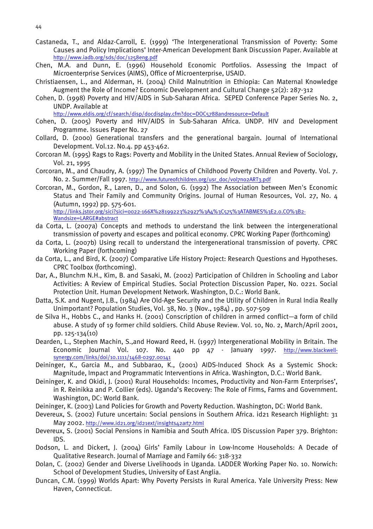- Castaneda, T., and Aldaz-Carroll, E. (1999) 'The Intergenerational Transmission of Poverty: Some Causes and Policy Implications' Inter-American Development Bank Discussion Paper. Available at <http://www.iadb.org/sds/doc/1258eng.pdf>
- Chen, M.A. and Dunn, E. (1996) Household Economic Portfolios. Assessing the Impact of Microenterprise Services (AIMS), Office of Microenterprise, USAID.
- Christiaensen, L., and Alderman, H. (2004) Child Malnutrition in Ethiopia: Can Maternal Knowledge Augment the Role of Income? Economic Development and Cultural Change 52(2): 287-312
- Cohen, D. (1998) Poverty and HIV/AIDS in Sub-Saharan Africa. SEPED Conference Paper Series No. 2, UNDP. Available at

[http://www.eldis.org/cf/search/disp/docdisplay.cfm?doc=DOC5788andresource=Default](http://www.eldis.org/cf/search/disp/docdisplay.cfm?doc=DOC5788&resource=Default)

- Cohen, D. (2005) Poverty and HIV/AIDS in Sub-Saharan Africa. UNDP. HIV and Development Programme. Issues Paper No. 27
- Collard, D. (2000) Generational transfers and the generational bargain. Journal of International Development. Vol.12. No.4. pp 453-462.
- Corcoran M. (1995) Rags to Rags: Poverty and Mobility in the United States. Annual Review of Sociology, Vol. 21, 1995
- Corcoran, M., and Chaudry, A. (1997) The Dynamics of Childhood Poverty Children and Poverty. Vol. 7. No. 2. Summer/Fall 1997. [http://www.futureofchildren.org/usr\\_doc/vol7no2ART3.pdf](http://www.futureofchildren.org/usr_doc/vol7no2ART3.pdf)
- Corcoran, M., Gordon, R., Laren, D., and Solon, G. (1992) The Association between Men's Economic Status and Their Family and Community Origins. Journal of Human Resources, Vol. 27, No. 4 (Autumn, 1992) pp. 575-601. http://links.jstor.org/sici?sici=0022-166X%28199223%2927%3A4%3C575%3ATABMES%3E2.0.CO%3B2-

Wandsize=LARGE#abstract

- da Corta, L. (2007a) Concepts and methods to understand the link between the intergenerational transmission of poverty and escapes and political economy. CPRC Working Paper (forthcoming)
- da Corta, L. (2007b) Using recall to understand the intergenerational transmission of poverty. CPRC Working Paper (forthcoming)
- da Corta, L., and Bird, K. (2007) Comparative Life History Project: Research Questions and Hypotheses. CPRC Toolbox (forthcoming).
- Dar, A., Blunchm N.H., Kim, B. and Sasaki, M. (2002) Participation of Children in Schooling and Labor Activities: A Review of Empirical Studies. Social Protection Discussion Paper, No. 0221. Social Protection Unit. Human Development Network. Washington, D.C.: World Bank.
- Datta, S.K. and Nugent, J.B., (1984) Are Old-Age Security and the Utility of Children in Rural India Really Unimportant? Population Studies, Vol. 38, No. 3 (Nov., 1984) , pp. 507-509
- de Silva H., Hobbs C., and Hanks H. (2001) Conscription of children in armed conflict—a form of child abuse. A study of 19 former child soldiers. Child Abuse Review. Vol. 10, No. 2, March/April 2001, pp. 125-134(10)
- Dearden, L., Stephen Machin, S.,and Howard Reed, H. (1997) Intergenerational Mobility in Britain. The Economic Journal Vol. 107. No. 440 pp 47 - January 1997. [http://www.blackwell](http://www.blackwell-synergy.com/links/doi/10.1111/1468-0297.00141)[synergy.com/links/doi/10.1111/1468-0297.00141](http://www.blackwell-synergy.com/links/doi/10.1111/1468-0297.00141)
- Deininger, K., Garcia M., and Subbarao, K., (2001) AIDS-Induced Shock As a Systemic Shock: Magnitude, Impact and Programmatic Interventions in Africa. Washington, D.C.: World Bank.
- Deininger, K. and Okidi, J. (2001) Rural Households: Incomes, Productivity and Non-Farm Enterprises', in R. Reinikka and P. Collier (eds). Uganda's Recovery: The Role of Firms, Farms and Government. Washington, DC: World Bank.
- Deininger, K. (2003) Land Policies for Growth and Poverty Reduction. Washington, DC: World Bank.
- Devereux, S. (2002) Future uncertain: Social pensions in Southern Africa. id21 Research Highlight: 31 May 2002. <http://www.id21.org/id21ext/insights42art7.html>
- Devereux, S. (2001) Social Pensions in Namibia and South Africa. IDS Discussion Paper 379. Brighton: IDS.
- Dodson, L. and Dickert, J. (2004) Girls' Family Labour in Low-Income Households: A Decade of Qualitative Research. Journal of Marriage and Family 66: 318-332
- Dolan, C. (2002) Gender and Diverse Livelihoods in Uganda. LADDER Working Paper No. 10. Norwich: School of Development Studies, University of East Anglia.
- Duncan, C.M. (1999) Worlds Apart: Why Poverty Persists in Rural America. Yale University Press: New Haven, Connecticut.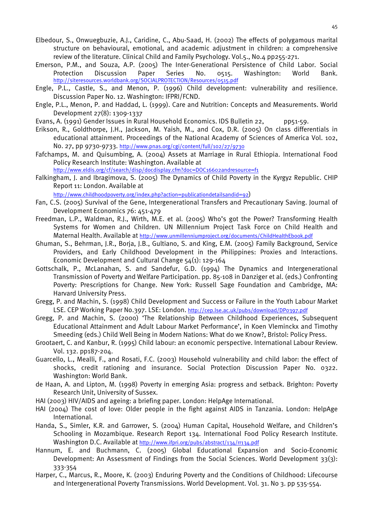- Elbedour, S., Onwuegbuzie, A.J., Caridine, C., Abu-Saad, H. (2002) The effects of polygamous marital structure on behavioural, emotional, and academic adjustment in children: a comprehensive review of the literature. Clinical Child and Family Psychology. Vol.5., No.4 pp255-271.
- Emerson, P.M., and Souza, A.P. (2005) The Inter-Generational Persistence of Child Labor. Social Protection Discussion Paper Series No. 0515. Washington: World Bank. <http://siteresources.worldbank.org/SOCIALPROTECTION/Resources/0515.pdf>
- Engle, P.L., Castle, S., and Menon, P. (1996) Child development: vulnerability and resilience. Discussion Paper No. 12. Washington: IFPRI/FCND.
- Engle, P.L., Menon, P. and Haddad, L. (1999). Care and Nutrition: Concepts and Measurements. World Development 27(8): 1309-1337
- Evans, A. (1991) Gender Issues in Rural Household Economics. IDS Bulletin 22, pp51-59.
- Erikson, R., Goldthorpe, J.H., Jackson, M. Yaish, M., and Cox, D.R. (2005) On class differentials in educational attainment. Proceedings of the National Academy of Sciences of America Vol. 102, No. 27, pp 9730-9733. <http://www.pnas.org/cgi/content/full/102/27/9730>
- Fafchamps, M. and Quisumbing, A. (2004) Assets at Marriage in Rural Ethiopia. International Food Policy Research Institute: Washington. Available at

[http://www.eldis.org/cf/search/disp/docdisplay.cfm?doc=DOC16602andresource=f1](http://www.eldis.org/cf/search/disp/docdisplay.cfm?doc=DOC16602&resource=f1)

Falkingham, J. and Ibragimova, S. (2005) The Dynamics of Child Poverty in the Kyrgyz Republic. CHIP Report 11: London. Available at

[http://www.childhoodpoverty.org/index.php?action=publicationdetailsandid=92\)](http://www.childhoodpoverty.org/index.php?action=publicationdetailsandid=92)

- Fan, C.S. (2005) Survival of the Gene, Intergenerational Transfers and Precautionary Saving. Journal of Development Economics 76: 451-479
- Freedman, L.P., Waldman, R.J., Wirth, M.E. et al. (2005) Who's got the Power? Transforming Health Systems for Women and Children. UN Millennium Project Task Force on Child Health and Maternal Health. Available at <http://www.unmillenniumproject.org/documents/ChildHealthEbook.pdf>
- Ghuman, S., Behrman, J.R., Borja, J.B., Gultiano, S. and King, E.M. (2005) Family Background, Service Providers, and Early Childhood Development in the Philippines: Proxies and Interactions. Economic Development and Cultural Change  $54(1)$ : 129-164
- Gottschalk, P., McLanahan, S. and Sandefur, G.D. (1994) The Dynamics and Intergenerational Transmission of Poverty and Welfare Participation. pp. 85-108 in Danziger et al. (eds.) Confronting Poverty: Prescriptions for Change. New York: Russell Sage Foundation and Cambridge, MA: Harvard University Press.
- Gregg, P. and Machin, S. (1998) Child Development and Success or Failure in the Youth Labour Market LSE. CEP Working Paper No.397. LSE: London. <http://cep.lse.ac.uk/pubs/download/DP0397.pdf>
- Gregg, P. and Machin, S. (2000) 'The Relationship Between Childhood Experiences, Subsequent Educational Attainment and Adult Labour Market Performance', in Koen Vleminckx and Timothy Smeeding (eds.) Child Well Being in Modern Nations: What do we Know?, Bristol: Policy Press.
- Grootaert, C. and Kanbur, R. (1995) Child labour: an economic perspective. International Labour Review. Vol. 132. pp187-204.
- Guarcello, L., Mealli, F., and Rosati, F.C. (2003) Household vulnerability and child labor: the effect of shocks, credit rationing and insurance. Social Protection Discussion Paper No. 0322. Washington: World Bank.
- de Haan, A. and Lipton, M. (1998) Poverty in emerging Asia: progress and setback. Brighton: Poverty Research Unit, University of Sussex.
- HAI (2003) HIV/AIDS and ageing: a briefing paper. London: HelpAge International.
- HAI (2004) The cost of love: Older people in the fight against AIDS in Tanzania. London: HelpAge International.
- Handa, S., Simler, K.R. and Garrower, S. (2004) Human Capital, Household Welfare, and Children's Schooling in Mozambique. Research Report 134. International Food Policy Research Institute. Washington D.C. Available at<http://www.ifpri.org/pubs/abstract/134/rr134.pdf>
- Hannum, E. and Buchmann, C. (2005) Global Educational Expansion and Socio-Economic Development: An Assessment of Findings from the Social Sciences. World Development  $33(3)$ : 333-354
- Harper, C., Marcus, R., Moore, K. (2003) Enduring Poverty and the Conditions of Childhood: Lifecourse and Intergenerational Poverty Transmissions. World Development. Vol. 31. No 3. pp 535-554.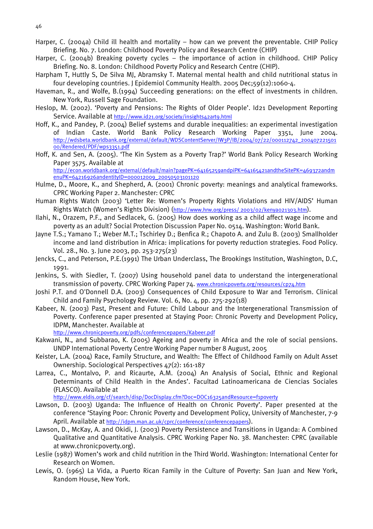- Harper, C. (2004a) Child ill health and mortality how can we prevent the preventable. CHIP Policy Briefing. No. 7. London: Childhood Poverty Policy and Research Centre (CHIP)
- Harper, C. (2004b) Breaking poverty cycles the importance of action in childhood. CHIP Policy Briefing. No. 8. London: Childhood Poverty Policy and Research Centre (CHIP).
- Harpham T, Huttly S, De Silva MJ, Abramsky T. Maternal mental health and child nutritional status in four developing countries. J Epidemiol Community Health. 2005 Dec;59(12):1060-4.
- Haveman, R., and Wolfe, B.(1994) Succeeding generations: on the effect of investments in children. New York, Russell Sage Foundation.
- Heslop, M. (2002). 'Poverty and Pensions: The Rights of Older People'. Id21 Development Reporting Service. Available at <http://www.id21.org/society/insights42art9.html>
- Hoff, K., and Pandey, P. (2004) Belief systems and durable inequalities: an experimental investigation of Indian Caste. World Bank Policy Research Working Paper 3351, June 2004. [http://wdsbeta.worldbank.org/external/default/WDSContentServer/IW3P/IB/2004/07/22/000112742\\_200407221501](http://wdsbeta.worldbank.org/external/default/WDSContentServer/IW3P/IB/2004/07/22/000112742_20040722150100/Rendered/PDF/wps3351.pdf) [00/Rendered/PDF/wps3351.pdf](http://wdsbeta.worldbank.org/external/default/WDSContentServer/IW3P/IB/2004/07/22/000112742_20040722150100/Rendered/PDF/wps3351.pdf)
- Hoff, K. and Sen, A. (2005). 'The Kin System as a Poverty Trap?' World Bank Policy Research Working Paper 3575. Available at

[http://econ.worldbank.org/external/default/main?pagePK=64165259andpiPK=64165421andtheSitePK=469372andm](http://econ.worldbank.org/external/default/main?pagePK=64165259&piPK=64165421&theSitePK=469372&menuPK=64216926&entityID=000012009_20050503101120) [enuPK=64216926andentityID=000012009\\_20050503101120](http://econ.worldbank.org/external/default/main?pagePK=64165259&piPK=64165421&theSitePK=469372&menuPK=64216926&entityID=000012009_20050503101120)

- Hulme, D., Moore, K., and Shepherd, A. (2001) Chronic poverty: meanings and analytical frameworks. CPRC Working Paper 2. Manchester: CPRC
- Human Rights Watch (2003) 'Letter Re: Women's Property Rights Violations and HIV/AIDS' Human Rights Watch (Women's Rights Division) ([http://www.hrw.org/press/ 2003/02/kenya021303.htm\)](http://www.hrw.org/press/2003/02/kenya021303.htm).
- Ilahi, N., Orazem, P.F., and Sedlacek, G. (2005) How does working as a child affect wage income and poverty as an adult? Social Protection Discussion Paper No. 0514. Washington: World Bank.
- Jayne T.S.; Yamano T.; Weber M.T.; Tschirley D.; Benfica R.; Chapoto A. and Zulu B. (2003) Smallholder income and land distribution in Africa: implications for poverty reduction strategies. Food Policy. Vol. 28., No. 3. June 2003, pp. 253-275(23)
- Jencks, C., and Peterson, P.E.(1991) The Urban Underclass, The Brookings Institution, Washington, D.C, 1991.
- Jenkins, S. with Siedler, T. (2007) Using household panel data to understand the intergenerational transmission of poverty. CPRC Working Paper 74. [www.chronicpoverty.org/resources/cp74.htm](http://www.chronicpoverty.org/resources/cp74.htm)
- Joshi P.T. and O'Donnell D.A. (2003) Consequences of Child Exposure to War and Terrorism. Clinical Child and Family Psychology Review. Vol. 6, No. 4, pp. 275-292(18)
- Kabeer, N. (2003) Past, Present and Future: Child Labour and the Intergenerational Transmission of Poverty. Conference paper presented at Staying Poor: Chronic Poverty and Development Policy, IDPM, Manchester. Available at

<http://www.chronicpoverty.org/pdfs/conferencepapers/Kabeer.pdf>

- Kakwani, N., and Subbarao, K. (2005) Ageing and poverty in Africa and the role of social pensions. UNDP International Poverty Centre Working Paper number 8 August, 2005
- Keister, L.A. (2004) Race, Family Structure, and Wealth: The Effect of Childhood Family on Adult Asset Ownership. Sociological Perspectives 47(2): 161-187
- Larrea, C., Montalvo, P. and Ricaurte, A.M. (2004) An Analysis of Social, Ethnic and Regional Determinants of Child Health in the Andes'. Facultad Latinoamericana de Ciencias Sociales (FLASCO). Available at

[http://www.eldis.org/cf/search/disp/DocDisplay.cfm?Doc=DOC16325andResource=f1poverty](http://www.eldis.org/cf/search/disp/DocDisplay.cfm?Doc=DOC16325&Resource=f1poverty)

- Lawson, D. (2003) Uganda: The Influence of Health on Chronic Poverty'. Paper presented at the conference 'Staying Poor: Chronic Poverty and Development Policy, University of Manchester, 7-9 April. Available at [http://idpm.man.ac.uk/cprc/conference/conferencepapers\)](http://idpm.man.ac.uk/cprc/conference/conferencepapers).
- Lawson, D., McKay, A. and Okidi, J. (2003) Poverty Persistence and Transitions in Uganda: A Combined Qualitative and Quantitative Analysis. CPRC Working Paper No. 38. Manchester: CPRC (available at www.chronicpoverty.org).
- Leslie (1987) Women's work and child nutrition in the Third World. Washington: International Center for Research on Women.
- Lewis, O. (1965) La Vida, a Puerto Rican Family in the Culture of Poverty: San Juan and New York, Random House, New York.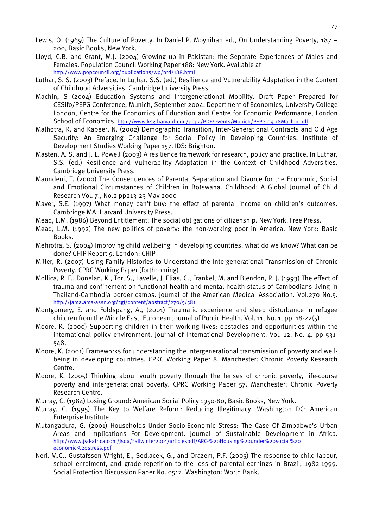- Lewis, O. (1969) The Culture of Poverty. In Daniel P. Moynihan ed., On Understanding Poverty, 187 200, Basic Books, New York.
- Lloyd, C.B. and Grant, M.J. (2004) Growing up in Pakistan: the Separate Experiences of Males and Females. Population Council Working Paper 188: New York. Available at <http://www.popcouncil.org/publications/wp/prd/188.html>
- Luthar, S. S. (2003) Preface. In Luthar, S.S. (ed.) Resilience and Vulnerability Adaptation in the Context of Childhood Adversities. Cambridge University Press.
- Machin, S (2004) Education Systems and Intergenerational Mobility. Draft Paper Prepared for CESifo/PEPG Conference, Munich, September 2004. Department of Economics, University College London, Centre for the Economics of Education and Centre for Economic Performance, London School of Economics.<http://www.ksg.harvard.edu/pepg/PDF/events/Munich/PEPG-04-18Machin.pdf>
- Malhotra, R. and Kabeer, N. (2002) Demographic Transition, Inter-Generational Contracts and Old Age Security: An Emerging Challenge for Social Policy in Developing Countries. Institute of Development Studies Working Paper 157. IDS: Brighton.
- Masten, A. S. and J. L. Powell (2003) A resilience framework for research, policy and practice. In Luthar, S.S. (ed.) Resilience and Vulnerability Adaptation in the Context of Childhood Adversities. Cambridge University Press.
- Maundeni, T. (2000) The Consequences of Parental Separation and Divorce for the Economic, Social and Emotional Circumstances of Children in Botswana. Childhood: A Global Journal of Child Research Vol. 7., No.2 pp213-23 May 2000
- Mayer, S.E. (1997) What money can't buy: the effect of parental income on children's outcomes. Cambridge MA: Harvard University Press.
- Mead, L.M. (1986) Beyond Entitlement: The social obligations of citizenship. New York: Free Press.
- Mead, L.M. (1992) The new politics of poverty: the non-working poor in America. New York: Basic Books.
- Mehrotra, S. (2004) Improving child wellbeing in developing countries: what do we know? What can be done? CHIP Report 9. London: CHIP
- Miller, R. (2007) Using Family Histories to Understand the Intergenerational Transmission of Chronic Poverty. CPRC Working Paper (forthcoming)
- Mollica, R. F., Donelan, K., Tor, S., Lavelle, J. Elias, C., Frankel, M. and Blendon, R. J. (1993) The effect of trauma and confinement on functional health and mental health status of Cambodians living in Thailand-Cambodia border camps. Journal of the American Medical Association. Vol.270 No.5. <http://jama.ama-assn.org/cgi/content/abstract/270/5/581>
- Montgomery, E. and Foldspang, A., (2001) Traumatic experience and sleep disturbance in refugee children from the Middle East. European Journal of Public Health. Vol. 11, No. 1, pp. 18-22(5)
- Moore, K. (2000) Supporting children in their working lives: obstacles and opportunities within the international policy environment. Journal of International Development. Vol. 12. No. 4. pp 531- 548.
- Moore, K. (2001) Frameworks for understanding the intergenerational transmission of poverty and wellbeing in developing countries. CPRC Working Paper 8. Manchester: Chronic Poverty Research Centre.
- Moore, K. (2005) Thinking about youth poverty through the lenses of chronic poverty, life-course poverty and intergenerational poverty. CPRC Working Paper 57. Manchester: Chronic Poverty Research Centre.
- Murray, C. (1984) Losing Ground: American Social Policy 1950-80, Basic Books, New York.
- Murray, C. (1995) The Key to Welfare Reform: Reducing Illegitimacy. Washington DC: American Enterprise Institute
- Mutangadura, G. (2001) Households Under Socio-Economic Stress: The Case Of Zimbabwe's Urban Areas and Implications For Development. Journal of Sustainable Development in Africa. [http://www.jsd-africa.com/Jsda/Fallwinter2001/articlespdf/ARC-%20Housing%20under%20social%20](http://www.jsd-africa.com/Jsda/Fallwinter2001/articlespdf/ARC- Housing under social economic stress.pdf) [economic%20stress.pdf](http://www.jsd-africa.com/Jsda/Fallwinter2001/articlespdf/ARC- Housing under social economic stress.pdf)
- Neri, M.C., Gustafsson-Wright, E., Sedlacek, G., and Orazem, P.F. (2005) The response to child labour, school enrolment, and grade repetition to the loss of parental earnings in Brazil, 1982-1999. Social Protection Discussion Paper No. 0512. Washington: World Bank.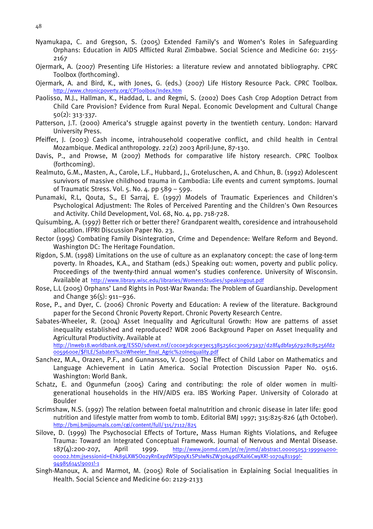- Nyamukapa, C. and Gregson, S. (2005) Extended Family's and Women's Roles in Safeguarding Orphans: Education in AIDS Afflicted Rural Zimbabwe. Social Science and Medicine 60: 2155- 2167
- Ojermark, A. (2007) Presenting Life Histories: a literature review and annotated bibliography. CPRC Toolbox (forthcoming).
- Ojermark, A. and Bird, K., with Jones, G. (eds.) (2007) Life History Resource Pack. CPRC Toolbox. <http://www.chronicpoverty.org/CPToolbox/Index.htm>
- Paolisso, M.J., Hallman, K., Haddad, L. and Regmi, S. (2002) Does Cash Crop Adoption Detract from Child Care Provision? Evidence from Rural Nepal. Economic Development and Cultural Change 50(2): 313-337.
- Patterson, J.T. (2000) America's struggle against poverty in the twentieth century. London: Harvard University Press.
- Pfeiffer, J. (2003) Cash income, intrahousehold cooperative conflict, and child health in Central Mozambique. Medical anthropology. 22(2) 2003 April-June, 87-130.
- Davis, P., and Prowse, M (2007) Methods for comparative life history research. CPRC Toolbox (forthcoming).
- Realmuto, G.M., Masten, A., Carole, L.F., Hubbard, J., Groteluschen, A. and Chhun, B. (1992) Adolescent survivors of massive childhood trauma in Cambodia: Life events and current symptoms. Journal of Traumatic Stress. Vol. 5. No. 4. pp 589 – 599.
- Punamaki, R.L, Qouta, S., El Sarraj, E. (1997) Models of Traumatic Experiences and Children's Psychological Adjustment: The Roles of Perceived Parenting and the Children's Own Resources and Activity. Child Development, Vol. 68, No. 4, pp. 718-728.
- Quisumbing, A. (1997) Better rich or better there? Grandparent wealth, coresidence and intrahousehold allocation. IFPRI Discussion Paper No. 23.
- Rector (1995) Combating Family Disintegration, Crime and Dependence: Welfare Reform and Beyond. Washington DC: The Heritage Foundation.
- Rigdon, S.M. (1998) Limitations on the use of culture as an explanatory concept: the case of long-term poverty. In Rhoades, K.A., and Statham (eds.) Speaking out: women, poverty and public policy. Proceedings of the twenty-third annual women's studies conference. University of Wisconsin. Available at <http://www.library.wisc.edu/libraries/WomensStudies/speakingout.pdf>
- Rose, L.L (2005) Orphans' Land Rights in Post-War Rwanda: The Problem of Guardianship. Development and Change 36(5): 911–936.
- Rose, P., and Dyer, C. (2006) Chronic Poverty and Education: A review of the literature. Background paper for the Second Chronic Poverty Report. Chronic Poverty Research Centre.
- Sabates-Wheeler, R. (2004) Asset Inequality and Agricultural Growth: How are patterns of asset inequality established and reproduced? WDR 2006 Background Paper on Asset Inequality and Agricultural Productivity. Available at

[http://lnweb18.worldbank.org/ESSD/sdvext.nsf/c0c0e3dc9ce3ec5385256cc300673a37/d28f4dbfa567928c85256fd2](http://lnweb18.worldbank.org/ESSD/sdvext.nsf/c0c0e3dc9ce3ec5385256cc300673a37/d28f4dbfa567928c85256fd20059600e/$FILE/Sabates Wheeler_final_Agric Inequality.pdf) [0059600e/\\$FILE/Sabates%20Wheeler\\_final\\_Agric%20Inequality.pdf](http://lnweb18.worldbank.org/ESSD/sdvext.nsf/c0c0e3dc9ce3ec5385256cc300673a37/d28f4dbfa567928c85256fd20059600e/$FILE/Sabates Wheeler_final_Agric Inequality.pdf)

- Sanchez, M.A., Orazen, P.F., and Gunnarsso, V. (2005) The Effect of Child Labor on Mathematics and Language Achievement in Latin America. Social Protection Discussion Paper No. 0516. Washington: World Bank.
- Schatz, E. and Ogunmefun (2005) Caring and contributing: the role of older women in multigenerational households in the HIV/AIDS era. IBS Working Paper. University of Colorado at Boulder
- Scrimshaw, N.S. (1997) The relation between foetal malnutrition and chronic disease in later life: good nutrition and lifestyle matter from womb to tomb. Editorial BMJ 1997; 315:825-826 (4th October). <http://bmj.bmjjournals.com/cgi/content/full/315/7112/825>
- Silove, D. (1999) The Psychosocial Effects of Torture, Mass Human Rights Violations, and Refugee Trauma: Toward an Integrated Conceptual Framework. Journal of Nervous and Mental Disease. 187(4):200-207, April 1999. [http://www.jonmd.com/pt/re/jnmd/abstract.00005053-199904000-](http://www.jonmd.com/pt/re/jnmd/abstract.00005053-199904000-00002.htm;jsessionid=Ehk89LXWSOo2yRnExydWSIpoyX1SPsIwNsZW30k49dFXaI6CwyXR!-1070481199!-949856145!9001!-1) [00002.htm;jsessionid=Ehk89LXWSOo2yRnExydWSIpoyX1SPsIwNsZW30k49dFXaI6CwyXR!-1070481199!-](http://www.jonmd.com/pt/re/jnmd/abstract.00005053-199904000-00002.htm;jsessionid=Ehk89LXWSOo2yRnExydWSIpoyX1SPsIwNsZW30k49dFXaI6CwyXR!-1070481199!-949856145!9001!-1) [949856145!9001!-1](http://www.jonmd.com/pt/re/jnmd/abstract.00005053-199904000-00002.htm;jsessionid=Ehk89LXWSOo2yRnExydWSIpoyX1SPsIwNsZW30k49dFXaI6CwyXR!-1070481199!-949856145!9001!-1)
- Singh-Manoux, A. and Marmot, M. (2005) Role of Socialisation in Explaining Social Inequalities in Health. Social Science and Medicine 60: 2129-2133